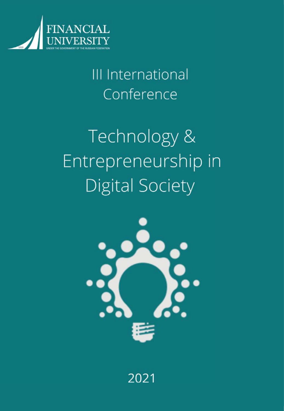

III International Conference

# Technology & Entrepreneurship in Digital Society



2021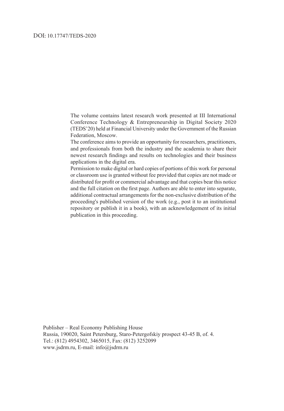#### DOI: 10.17747/TEDS-2020

The volume contains latest research work presented at III International Conference Technology & Entrepreneurship in Digital Society 2020 (TEDS'20) held at Financial University under the Government of the Russian Federation, Moscow.

The conference aims to provide an opportunity for researchers, practitioners, and professionals from both the industry and the academia to share their newest research findings and results on technologies and their business applications in the digital era.

Permission to make digital or hard copies of portions of this work for personal or classroom use is granted without fee provided that copies are not made or distributed for profit or commercial advantage and that copies bear this notice and the full citation on the first page. Authors are able to enter into separate, additional contractual arrangements for the non-exclusive distribution of the proceeding's published version of the work (e.g., post it to an institutional repository or publish it in a book), with an acknowledgement of its initial publication in this proceeding.

Publisher – Real Economy Publishing House Russia, 190020, Saint Petersburg, Staro-Petergofskiy prospect 43-45 B, of. 4. Tel.: (812) 4954302, 3465015, Fax: (812) 3252099 www.jsdrm.ru, E-mail: info@jsdrm.ru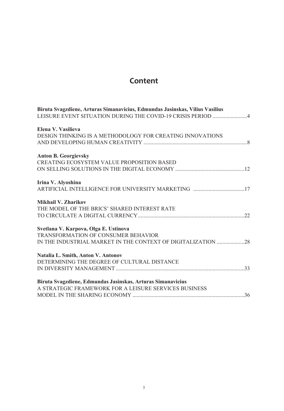# **Content**

| Biruta Svagzdiene, Arturas Simanavicius, Edmundas Jasinskas, Vilius Vasilius<br>LEISURE EVENT SITUATION DURING THE COVID-19 CRISIS PERIOD 4 |
|---------------------------------------------------------------------------------------------------------------------------------------------|
| Elena V. Vasilieva                                                                                                                          |
| DESIGN THINKING IS A METHODOLOGY FOR CREATING INNOVATIONS                                                                                   |
|                                                                                                                                             |
| <b>Anton B. Georgievsky</b>                                                                                                                 |
| CREATING ECOSYSTEM VALUE PROPOSITION BASED                                                                                                  |
|                                                                                                                                             |
| Irina V. Alyoshina                                                                                                                          |
|                                                                                                                                             |
| Mikhail V. Zharikov                                                                                                                         |
| THE MODEL OF THE BRICS' SHARED INTEREST RATE                                                                                                |
|                                                                                                                                             |
| Svetlana V. Karpova, Olga E. Ustinova                                                                                                       |
| TRANSFORMATION OF CONSUMER BEHAVIOR                                                                                                         |
| IN THE INDUSTRIAL MARKET IN THE CONTEXT OF DIGITALIZATION 28                                                                                |
| Natalia L. Smith, Anton V. Antonov                                                                                                          |
| DETERMINING THE DEGREE OF CULTURAL DISTANCE                                                                                                 |
|                                                                                                                                             |
| Biruta Svagzdiene, Edmundas Jasinskas, Arturas Simanavicius                                                                                 |
| A STRATEGIC FRAMEWORK FOR A LEISURE SERVICES BUSINESS                                                                                       |
|                                                                                                                                             |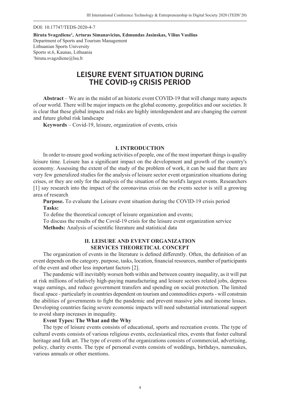DOI: 10.17747/TEDS-2020-4-7

**Biruta Svagzdiene1 , Arturas Simanavicius, Edmundas Jasinskas, Vilius Vasilius** Department of Sports and Tourism Management Lithuanian Sports University Sporto st.6, Kaunas, Lithuania 1 biruta.svagzdiene@lsu.lt

# **LEISURE EVENT SITUATION DURING THE COVID-19 CRISIS PERIOD**

**Abstract** – We are in the midst of an historic event COVID-19 that will change many aspects of our world. There will be major impacts on the global economy, geopolitics and our societies. It is clear that these global impacts and risks are highly interdependent and are changing the current and future global risk landscape

**Keywords** – Covid-19, leisure, organization of events, crisis

#### **I. INTRODUCTION**

In order to ensure good working activities of people, one of the most important things is quality leisure time. Leisure has a significant impact on the development and growth of the country's economy. Assessing the extent of the study of the problem of work, it can be said that there are very few generalized studies for the analysis of leisure sector event organization situations during crises, or they are only for the analysis of the situation of the world's largest events. Researchers [1] say research into the impact of the coronavirus crisis on the events sector is still a growing area of research

**Purpose.** To evaluate the Leisure event situation during the COVID-19 crisis period **Tasks:**

To define the theoretical concept of leisure organization and events;

To discuss the results of the Covid-19 crisis for the leisure event organization service Methods: Analysis of scientific literature and statistical data

#### **II. LEISURE AND EVENT ORGANIZATION SERVICES THEORETICAL CONCEPT**

The organization of events in the literature is defined differently. Often, the definition of an event depends on the category, purpose, tasks, location, financial resources, number of participants of the event and other less important factors [2].

The pandemic will inevitably worsen both within and between country inequality, as it will put at risk millions of relatively high-paying manufacturing and leisure sectors related jobs, depress wage earnings, and reduce government transfers and spending on social protection. The limited fiscal space - particularly in countries dependent on tourism and commodities exports - will constrain the abilities of governments to fight the pandemic and prevent massive jobs and income losses. Developing countries facing severe economic impacts will need substantial international support to avoid sharp increases in inequality.

#### **Event Types: The What and the Why**

The type of leisure events consists of educational, sports and recreation events. The type of cultural events consists of various religious events, ecclesiastical rites, events that foster cultural heritage and folk art. The type of events of the organizations consists of commercial, advertising, policy, charity events. The type of personal events consists of weddings, birthdays, namesakes, various annuals or other mentions.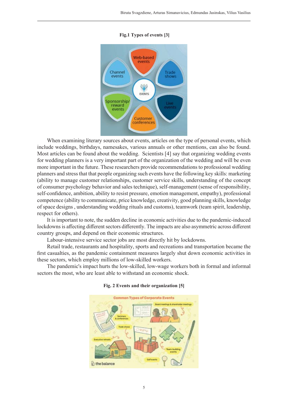

#### **Fig.1 Types of events [3]**

When examining literary sources about events, articles on the type of personal events, which include weddings, birthdays, namesakes, various annuals or other mentions, can also be found. Most articles can be found about the wedding. Scientists [4] say that organizing wedding events for wedding planners is a very important part of the organization of the wedding and will be even more important in the future. These researchers provide recommendations to professional wedding planners and stress that that people organizing such events have the following key skills: marketing (ability to manage customer relationships, customer service skills, understanding of the concept of consumer psychology behavior and sales technique), self-management (sense of responsibility, self-confidence, ambition, ability to resist pressure, emotion management, empathy), professional competence (ability to communicate, price knowledge, creativity, good planning skills, knowledge of space designs , understanding wedding rituals and customs), teamwork (team spirit, leadership, respect for others).

It is important to note, the sudden decline in economic activities due to the pandemic-induced lockdowns is affecting different sectors differently. The impacts are also asymmetric across different country groups, and depend on their economic structures.

Labour-intensive service sector jobs are most directly hit by lockdowns.

Retail trade, restaurants and hospitality, sports and recreations and transportation became the first casualties, as the pandemic containment measures largely shut down economic activities in these sectors, which employ millions of low-skilled workers.

The pandemic's impact hurts the low-skilled, low-wage workers both in formal and informal sectors the most, who are least able to withstand an economic shock.



#### **Fig. 2 Events and their organization [5]**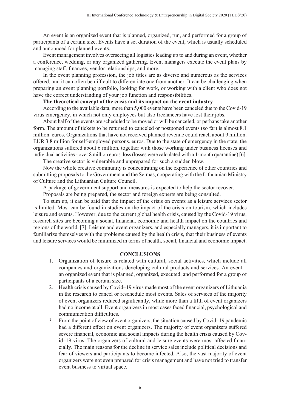An event is an organized event that is planned, organized, run, and performed for a group of participants of a certain size. Events have a set duration of the event, which is usually scheduled and announced for planned events.

Event management involves overseeing all logistics leading up to and during an event, whether a conference, wedding, or any organized gathering. Event managers execute the event plans by managing staff, finances, vendor relationships, and more.

In the event planning profession, the job titles are as diverse and numerous as the services offered, and it can often be difficult to differentiate one from another. It can be challenging when preparing an event planning portfolio, looking for work, or working with a client who does not have the correct understanding of your job function and responsibilities.

#### **The theoretical concept of the crisis and its impact on the event industry**

According to the available data, more than 5,000 events have been canceled due to the Covid-19 virus emergency, in which not only employees but also freelancers have lost their jobs.

About half of the events are scheduled to be moved or will be canceled, or perhaps take another form. The amount of tickets to be returned to canceled or postponed events (so far) is almost 8.1 million. euros. Organizations that have not received planned revenue could reach about 9 million. EUR 3.8 million for self-employed persons. euros. Due to the state of emergency in the state, the organizations suffered about 6 million. together with those working under business licenses and individual activities - over 8 million euros. loss (losses were calculated with a 1-month quarantine) [6].

The creative sector is vulnerable and unprepared for such a sudden blow.

Now the whole creative community is concentrating on the experience of other countries and submitting proposals to the Government and the Seimas, cooperating with the Lithuanian Ministry of Culture and the Lithuanian Culture Council.

A package of government support and measures is expected to help the sector recover.

Proposals are being prepared, the sector and foreign experts are being consulted.

To sum up, it can be said that the impact of the crisis on events as a leisure services sector is limited. Most can be found in studies on the impact of the crisis on tourism, which includes leisure and events. However, due to the current global health crisis, caused by the Covid-19 virus, research sites are becoming a social, financial, economic and health impact on the countries and regions of the world. [7]. Leisure and event organizers, and especially managers, it is important to familiarize themselves with the problems caused by the health crisis, that their business of events and leisure services would be minimized in terms of health, social, financial and economic impact.

#### **CONCLUSIONS**

- 1. Organization of leisure is related with cultural, social activities, which include all companies and organizations developing cultural products and services. An event – an organized event that is planned, organized, executed, and performed for a group of participants of a certain size.
- 2. Health crisis caused by Covid–19 virus made most of the event organizers of Lithuania in the research to cancel or reschedule most events. Sales of services of the majority of event organizers reduced significantly, while more than a fifth of event organizers had no income at all. Event organizers in most cases faced financial, psychological and communication difficulties.
- 3. From the point of view of event organizers, the situation caused by Covid–19 pandemic had a different effect on event organizers. The majority of event organizers suffered severe financial, economic and social impacts during the health crisis caused by Covid–19 virus. The organizers of cultural and leisure events were most affected financially. The main reasons for the decline in service sales include political decisions and fear of viewers and participants to become infected. Also, the vast majority of event organizers were not even prepared for crisis management and have not tried to transfer event business to virtual space.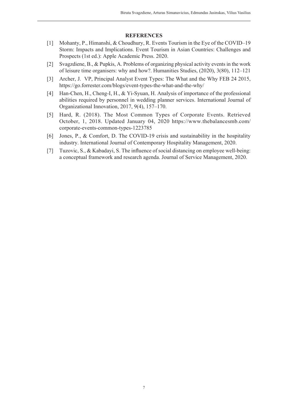- [1] Mohanty, P., Himanshi, & Choudhury, R. Events Tourism in the Eye of the COVID–19 Storm: Impacts and Implications. Event Tourism in Asian Countries: Challenges and Prospects (1st ed.): Apple Academic Press. 2020.
- [2] Svagzdiene, B., & Pupkis, A. Problems of organizing physical activity events in the work of leisure time organisers: why and how?. Humanities Studies, (2020), 3(80), 112–121
- [3] Archer, J. VP, Principal Analyst Event Types: The What and the Why FEB 24 2015, https://go.forrester.com/blogs/event-types-the-what-and-the-why/
- [4] Han-Chen, H., Cheng-I, H., & Yi-Syuan, H. Analysis of importance of the professional abilities required by personnel in wedding planner services. International Journal of Organizational Innovation, 2017, 9(4), 157–170.
- [5] Hard, R. (2018). The Most Common Types of Corporate Events. Retrieved October, 1, 2018. Updated January 04, 2020 https://www.thebalancesmb.com/ corporate-events-common-types-1223785
- [6] Jones, P., & Comfort, D. The COVID-19 crisis and sustainability in the hospitality industry. International Journal of Contemporary Hospitality Management, 2020.
- [7] Tuzovic, S., & Kabadavi, S. The influence of social distancing on employee well-being: a conceptual framework and research agenda. Journal of Service Management, 2020.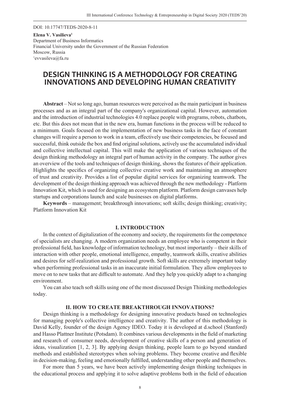DOI: 10.17747/TEDS-2020-8-11

**Elena V. Vasilieva1** Department of Business Informatics Financial University under the Government of the Russian Federation Moscow, Russia 1 evvasileva@fa.ru

# **DESIGN THINKING IS A METHODOLOGY FOR CREATING INNOVATIONS AND DEVELOPING HUMAN CREATIVITY**

**Abstract** – Not so long ago, human resources were perceived as the main participant in business processes and as an integral part of the company's organizational capital. However, automation and the introduction of industrial technologies 4.0 replace people with programs, robots, chatbots, etc. But this does not mean that in the new era, human functions in the process will be reduced to a minimum. Goals focused on the implementation of new business tasks in the face of constant changes will require a person to work in a team, effectively use their competencies, be focused and successful, think outside the box and find original solutions, actively use the accumulated individual and collective intellectual capital. This will make the application of various techniques of the design thinking methodology an integral part of human activity in the company. The author gives an overview of the tools and techniques of design thinking, shows the features of their application. Highlights the specifics of organizing collective creative work and maintaining an atmosphere of trust and creativity. Provides a list of popular digital services for organizing teamwork. The development of the design thinking approach was achieved through the new methodology - Platform Innovation Kit, which is used for designing an ecosystem platform. Platform design canvases help startups and corporations launch and scale businesses on digital platforms.

**Keywords** – management; breakthrough innovations; soft skills; design thinking; creativity; Platform Innovation Kit

#### **I. INTRODUCTION**

In the context of digitalization of the economy and society, the requirements for the competence of specialists are changing. A modern organization needs an employee who is competent in their professional fi eld, has knowledge of information technology, but most importantly – their skills of interaction with other people, emotional intelligence, empathy, teamwork skills, creative abilities and desires for self-realization and professional growth. Soft skills are extremely important today when performing professional tasks in an inaccurate initial formulation. They allow employees to move on to new tasks that are difficult to automate. And they help you quickly adapt to a changing environment.

You can also teach soft skills using one of the most discussed Design Thinking methodologies today.

#### **II. HOW TO CREATE BREAKTHROUGH INNOVATIONS?**

Design thinking is a methodology for designing innovative products based on technologies for managing people's collective intelligence and creativity. The author of this methodology is David Kelly, founder of the design Agency IDEO. Today it is developed at d.school (Stanford) and Hasso Plattner Institute (Potsdam). It combines various developments in the field of marketing and research of consumer needs, development of creative skills of a person and generation of ideas, visualization [1, 2, 3]. By applying design thinking, people learn to go beyond standard methods and established stereotypes when solving problems. They become creative and flexible in decision-making, feeling and emotionally fulfilled, understanding other people and themselves.

For more than 5 years, we have been actively implementing design thinking techniques in the educational process and applying it to solve adaptive problems both in the field of education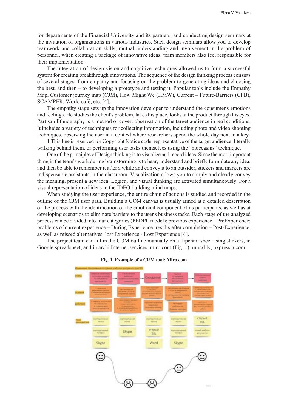for departments of the Financial University and its partners, and conducting design seminars at the invitation of organizations in various industries. Such design seminars allow you to develop teamwork and collaboration skills, mutual understanding and involvement in the problem of personnel, when creating a package of innovative ideas, team members also feel responsible for their implementation.

The integration of design vision and cognitive techniques allowed us to form a successful system for creating breakthrough innovations. The sequence of the design thinking process consists of several stages: from empathy and focusing on the problem-to generating ideas and choosing the best, and then – to developing a prototype and testing it. Popular tools include the Empathy Map, Customer journey map (CJM), How Might We (HMW), Current – Future-Barriers (CFB), SCAMPER, World café, etc. [4].

The empathy stage sets up the innovation developer to understand the consumer's emotions and feelings. He studies the client's problem, takes his place, looks at the product through his eyes. Partisan Ethnography is a method of covert observation of the target audience in real conditions. It includes a variety of techniques for collecting information, including photo and video shooting techniques, observing the user in a context where researchers spend the whole day next to a key

1 This line is reserved for Copyright Notice code representative of the target audience, literally walking behind them, or performing user tasks themselves using the "moccasins" technique.

One of the principles of Design thinking is to visualize and record ideas. Since the most important thing in the team's work during brainstorming is to hear, understand and briefly formulate any idea, and then be able to remember it after a while and convey it to an outsider, stickers and markers are indispensable assistants in the classroom. Visualization allows you to simply and clearly convey the meaning, present a new idea. Logical and visual thinking are activated simultaneously. For a visual representation of ideas in the IDEO building mind maps.

When studying the user experience, the entire chain of actions is studied and recorded in the outline of the CJM user path. Building a COM canvas is usually aimed at a detailed description of the process with the identification of the emotional component of its participants, as well as at developing scenarios to eliminate barriers to the user's business tasks. Each stage of the analyzed process can be divided into four categories (PEDPL model): previous experience – PreExperience; problems of current experience – During Experience; results after completion – Post-Experience, as well as missed alternatives, lost Experience - Lost Experience [4].

The project team can fill in the COM outline manually on a flipchart sheet using stickers, in Google spreadsheet, and in archi Internet services, miro.com (Fig. 1), mural.ly, uxpressia.com.



#### **Fig. 1. Example of a CRM tool: Miro.com**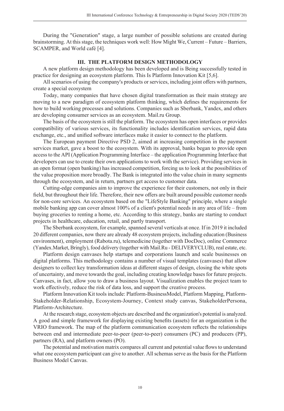During the "Generation" stage, a large number of possible solutions are created during brainstorming. At this stage, the techniques work well: How Might We, Current – Future – Barriers, SCAMPER, and World café [4].

#### **III. THE PLATFORM DESIGN METHODOLOGY**

A new platform design methodology has been developed and is Being successfully tested in practice for designing an ecosystem platform. This Is Platform Innovation Kit [5,6].

All scenarios of using the company's products or services, including joint offers with partners, create a special ecosystem

Today, many companies that have chosen digital transformation as their main strategy are moving to a new paradigm of ecosystem platform thinking, which defines the requirements for how to build working processes and solutions. Companies such as Sberbank, Yandex, and others are developing consumer services as an ecosystem. Mail.ru Group.

The basis of the ecosystem is still the platform. The ecosystem has open interfaces or provides compatibility of various services, its functionality includes identification services, rapid data exchange, etc., and unified software interfaces make it easier to connect to the platform.

The European payment Directive PSD 2, aimed at increasing competition in the payment services market, gave a boost to the ecosystem. With its approval, banks began to provide open access to the API (Application Programming Interface – the application Programming Interface that developers can use to create their own applications to work with the service). Providing services in an open format (open banking) has increased competition, forcing us to look at the possibilities of the value proposition more broadly. The Bank is integrated into the value chain in many segments through the ecosystem, and in return, partners get access to customer data.

Cutting-edge companies aim to improve the experience for their customers, not only in their field, but throughout their life. Therefore, their new offers are built around possible customer needs for non-core services. An ecosystem based on the "LifeStyle Banking" principle, where a single mobile banking app can cover almost 100% of a client's potential needs in any area of life – from buying groceries to renting a home, etc. According to this strategy, banks are starting to conduct projects in healthcare, education, retail, and partly transport.

The Sberbank ecosystem, for example, spanned several verticals at once. If in 2019 it included 20 diff erent companies, now there are already 48 ecosystem projects, including education (Business environment), employment (Rabota.ru), telemedicine (together with DocDoc), online Commerce (Yandex.Market, Bringly), food delivery (together with Mail.Ru - DELIVERYCLUB), real estate, etc.

Platform design canvases help startups and corporations launch and scale businesses on digital platforms. This methodology contains a number of visual templates (canvases) that allow designers to collect key transformation ideas at different stages of design, closing the white spots of uncertainty, and move towards the goal, including creating knowledge bases for future projects. Canvases, in fact, allow you to draw a business layout. Visualization enables the project team to work effectively, reduce the risk of data loss, and support the creative process.

Platform Innovation Kit tools include: Platform-BusinessModel, Platform Mapping, Platform-Stakeholder-Relationship, Ecosystem-Journey, Context study canvas, StakeholderPersona, Platform-Architecture.

At the research stage, ecosystem objects are described and the organization's potential is analyzed. A good and simple framework for displaying existing benefits (assets) for an organization is the VRIO framework. The map of the platform communication ecosystem reflects the relationships between end and intermediate peer-to-peer (peer-to-peer) consumers (PC) and producers (PP), partners (RA), and platform owners (PO).

The potential and motivation matrix compares all current and potential value flows to understand what one ecosystem participant can give to another. All schemas serve as the basis for the Platform Business Model Canvas.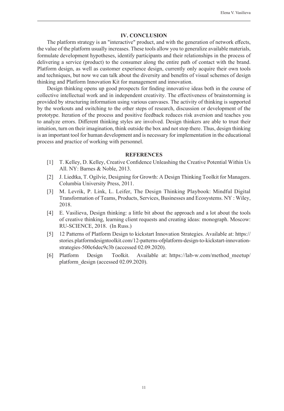#### **IV. CONCLUSION**

The platform strategy is an "interactive" product, and with the generation of network effects, the value of the platform usually increases. These tools allow you to generalize available materials, formulate development hypotheses, identify participants and their relationships in the process of delivering a service (product) to the consumer along the entire path of contact with the brand. Platform design, as well as customer experience design, currently only acquire their own tools and techniques, but now we can talk about the diversity and benefits of visual schemes of design thinking and Platform Innovation Kit for management and innovation.

Design thinking opens up good prospects for finding innovative ideas both in the course of collective intellectual work and in independent creativity. The effectiveness of brainstorming is provided by structuring information using various canvases. The activity of thinking is supported by the workouts and switching to the other steps of research, discussion or development of the prototype. Iteration of the process and positive feedback reduces risk aversion and teaches you to analyze errors. Different thinking styles are involved. Design thinkers are able to trust their intuition, turn on their imagination, think outside the box and not stop there. Thus, design thinking is an important tool for human development and is necessary for implementation in the educational process and practice of working with personnel.

- [1] T. Kelley, D. Kelley, Creative Confidence Unleashing the Creative Potential Within Us All. NY: Barnes & Noble, 2013.
- [2] J. Liedtka, T. Ogilvie, Designing for Growth: A Design Thinking Toolkit for Managers. Columbia University Press, 2011.
- [3] M. Levrik, P. Link, L. Leifer, The Design Thinking Playbook: Mindful Digital Transformation of Teams, Products, Services, Businesses and Ecosystems. NY : Wiley, 2018.
- [4] E. Vasilieva, Design thinking: a little bit about the approach and a lot about the tools of creative thinking, learning client requests and creating ideas: monograph. Moscow: RU-SCIENCE, 2018. (In Russ.)
- [5] 12 Patterns of Platform Design to kickstart Innovation Strategies. Available at: https:// stories.platformdesigntoolkit.com/12-patterns-ofplatform-design-to-kickstart-innovationstrategies-500c6dec9c3b (accessed 02.09.2020).
- [6] Platform Design Toolkit. Available at: https://lab-w.com/method\_meetup/ platform\_design (accessed 02.09.2020).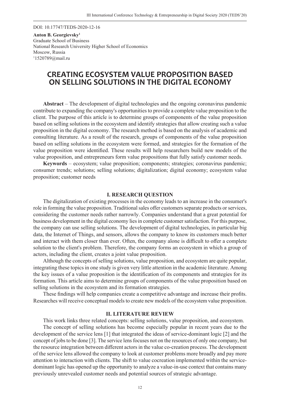DOI: 10.17747/TEDS-2020-12-16

**Anton B. Georgievsky1**  Graduate School of Business National Research University Higher School of Economics Moscow, Russia 1 1520789@mail.ru

# **CREATING ECOSYSTEM VALUE PROPOSITION BASED ON SELLING SOLUTIONS IN THE DIGITAL ECONOMY**

**Abstract** – The development of digital technologies and the ongoing coronavirus pandemic contribute to expanding the company's opportunities to provide a complete value proposition to the client. The purpose of this article is to determine groups of components of the value proposition based on selling solutions in the ecosystem and identify strategies that allow creating such a value proposition in the digital economy. The research method is based on the analysis of academic and consulting literature. As a result of the research, groups of components of the value proposition based on selling solutions in the ecosystem were formed, and strategies for the formation of the value proposition were identified. These results will help researchers build new models of the value proposition, and entrepreneurs form value propositions that fully satisfy customer needs.

**Keywords** – ecosystem; value proposition; components; strategies; coronavirus pandemic; consumer trends; solutions; selling solutions; digitalization; digital economy; ecosystem value proposition; customer needs

#### **I. RESEARCH QUESTION**

The digitalization of existing processes in the economy leads to an increase in the consumer's role in forming the value proposition. Traditional sales offer customers separate products or services, considering the customer needs rather narrowly. Companies understand that a great potential for business development in the digital economy lies in complete customer satisfaction. For this purpose, the company can use selling solutions. The development of digital technologies, in particular big data, the Internet of Things, and sensors, allows the company to know its customers much better and interact with them closer than ever. Often, the company alone is difficult to offer a complete solution to the client's problem. Therefore, the company forms an ecosystem in which a group of actors, including the client, creates a joint value proposition.

Although the concepts of selling solutions, value proposition, and ecosystem are quite popular, integrating these topics in one study is given very little attention in the academic literature. Among the key issues of a value proposition is the identification of its components and strategies for its formation. This article aims to determine groups of components of the value proposition based on selling solutions in the ecosystem and its formation strategies.

These findings will help companies create a competitive advantage and increase their profits. Researches will receive conceptual models to create new models of the ecosystem value proposition.

#### **II. LITERATURE REVIEW**

This work links three related concepts: selling solutions, value proposition, and ecosystem.

The concept of selling solutions has become especially popular in recent years due to the development of the service lens [1] that integrated the ideas of service-dominant logic [2] and the concept of jobs to be done [3]. The service lens focuses not on the resources of only one company, but the resource integration between different actors in the value co-creation process. The development of the service lens allowed the company to look at customer problems more broadly and pay more attention to interaction with clients. The shift to value cocreation implemented within the servicedominant logic has opened up the opportunity to analyze a value-in-use context that contains many previously unrevealed customer needs and potential sources of strategic advantage.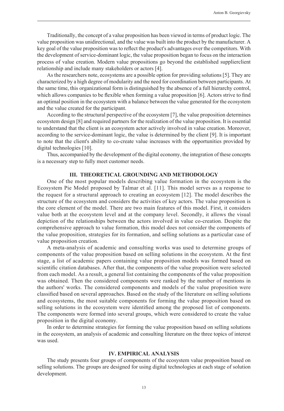Traditionally, the concept of a value proposition has been viewed in terms of product logic. The value proposition was unidirectional, and the value was built into the product by the manufacturer. A key goal of the value proposition was to reflect the product's advantages over the competitors. With the development of service-dominant logic, the value proposition began to focus on the interaction process of value creation. Modern value propositions go beyond the established supplierclient relationship and include many stakeholders or actors [4].

As the researchers note, ecosystems are a possible option for providing solutions [5]. They are characterized by a high degree of modularity and the need for coordination between participants. At the same time, this organizational form is distinguished by the absence of a full hierarchy control, which allows companies to be flexible when forming a value proposition [6]. Actors strive to find an optimal position in the ecosystem with a balance between the value generated for the ecosystem and the value created for the participant.

According to the structural perspective of the ecosystem [7], the value proposition determines ecosystem design [8] and required partners for the realization of the value proposition. It is essential to understand that the client is an ecosystem actor actively involved in value creation. Moreover, according to the service-dominant logic, the value is determined by the client [9]. It is important to note that the client's ability to co-create value increases with the opportunities provided by digital technologies [10].

Thus, accompanied by the development of the digital economy, the integration of these concepts is a necessary step to fully meet customer needs.

#### **III. THEORETICAL GROUNDING AND METHODOLOGY**

One of the most popular models describing value formation in the ecosystem is the Ecosystem Pie Model proposed by Talmar et al. [11]. This model serves as a response to the request for a structural approach to creating an ecosystem [12]. The model describes the structure of the ecosystem and considers the activities of key actors. The value proposition is the core element of the model. There are two main features of this model. First, it considers value both at the ecosystem level and at the company level. Secondly, it allows the visual depiction of the relationships between the actors involved in value co-creation. Despite the comprehensive approach to value formation, this model does not consider the components of the value proposition, strategies for its formation, and selling solutions as a particular case of value proposition creation.

A meta-analysis of academic and consulting works was used to determine groups of components of the value proposition based on selling solutions in the ecosystem. At the first stage, a list of academic papers containing value proposition models was formed based on scientific citation databases. After that, the components of the value proposition were selected from each model. As a result, a general list containing the components of the value proposition was obtained. Then the considered components were ranked by the number of mentions in the authors' works. The considered components and models of the value proposition were classified based on several approaches. Based on the study of the literature on selling solutions and ecosystems, the most suitable components for forming the value proposition based on selling solutions in the ecosystem were identified among the proposed list of components. The components were formed into several groups, which were considered to create the value proposition in the digital economy.

In order to determine strategies for forming the value proposition based on selling solutions in the ecosystem, an analysis of academic and consulting literature on the three topics of interest was used.

#### **IV. EMPIRICAL ANALYSIS**

The study presents four groups of components of the ecosystem value proposition based on selling solutions. The groups are designed for using digital technologies at each stage of solution development.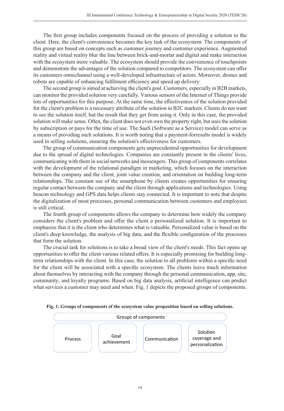The first group includes components focused on the process of providing a solution to the client. Here, the client's convenience becomes the key task of the ecosystem. The components of this group are based on concepts such as customer journey and customer experience. Augmented reality and virtual reality blur the line between brick-and-mortar and digital and make interaction with the ecosystem more valuable. The ecosystem should provide the convenience of touchpoints and demonstrate the advantages of the solution compared to competitors. The ecosystem can offer its customers omnichannel using a well-developed infrastructure of actors. Moreover, drones and robots are capable of enhancing fulfilment efficiency and speed up delivery.

The second group is aimed at achieving the client's goal. Customers, especially in B2B markets, can monitor the provided solution very carefully. Various sensors of the Internet of Things provide lots of opportunities for this purpose. At the same time, the effectiveness of the solution provided for the client's problem is a necessary attribute of the solution in B2C markets. Clients do not want to see the solution itself, but the result that they get from using it. Only in this case, the provided solution will make sense. Often, the client does not even own the property right, but uses the solution by subscription or pays for the time of use. The SaaS (Software as a Service) model can serve as a means of providing such solutions. It is worth noting that a payment-forresults model is widely used in selling solutions, ensuring the solution's effectiveness for customers.

The group of communication components gets unprecedented opportunities for development due to the spread of digital technologies. Companies are constantly present in the clients' lives, communicating with them in social networks and messengers. This group of components correlates with the development of the relational paradigm in marketing, which focuses on the interaction between the company and the client, joint value creation, and orientation on building long-term relationships. The constant use of the smartphone by clients creates opportunities for ensuring regular contact between the company and the client through applications and technologies. Using beacon technology and GPS data helps clients stay connected. It is important to note that despite the digitalization of most processes, personal communication between customers and employees is still critical.

The fourth group of components allows the company to determine how widely the company considers the client's problem and offer the client a personalized solution. It is important to emphasize that it is the client who determines what is valuable. Personalized value is based on the client's deep knowledge, the analysis of big data, and the flexible configuration of the processes that form the solution.

The crucial task for solutions is to take a broad view of the client's needs. This fact opens up opportunities to offer the client various related offers. It is especially promising for building longterm relationships with the client. In this case, the solution to all problems within a specific need for the client will be associated with a specific ecosystem. The clients leave much information about themselves by interacting with the company through the personal communication, app, site, community, and loyalty programs. Based on big data analysis, artificial intelligence can predict what services a customer may need and when. Fig. 1 depicts the proposed groups of components.



**Fig. 1. Groups of components of the ecosystem value proposition based on selling solutions.**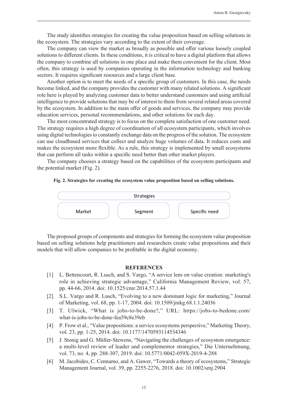The study identifies strategies for creating the value proposition based on selling solutions in the ecosystem. The strategies vary according to the extent of their coverage.

The company can view the market as broadly as possible and offer various loosely coupled solutions to different clients. In these conditions, it is critical to have a digital platform that allows the company to combine all solutions in one place and make them convenient for the client. Most often, this strategy is used by companies operating in the information technology and banking sectors. It requires significant resources and a large client base.

Another option is to meet the needs of a specific group of customers. In this case, the needs become linked, and the company provides the customer with many related solutions. A significant role here is played by analyzing customer data to better understand customers and using artificial intelligence to provide solutions that may be of interest to them from several related areas covered by the ecosystem. In addition to the main offer of goods and services, the company may provide education services, personal recommendations, and other solutions for each day.

The most concentrated strategy is to focus on the complete satisfaction of one customer need. The strategy requires a high degree of coordination of all ecosystem participants, which involves using digital technologies to constantly exchange data on the progress of the solution. The ecosystem can use cloudbased services that collect and analyze huge volumes of data. It reduces costs and makes the ecosystem more flexible. As a rule, this strategy is implemented by small ecosystems that can perform all tasks within a specifi c need better than other market players.

The company chooses a strategy based on the capabilities of the ecosystem participants and the potential market (Fig. 2).

#### **Fig. 2. Strategies for creating the ecosystem value proposition based on selling solutions.**



The proposed groups of components and strategies for forming the ecosystem value proposition based on selling solutions help practitioners and researchers create value propositions and their models that will allow companies to be profitable in the digital economy.

- [1] L. Bettencourt, R. Lusch, and S. Vargo, "A service lens on value creation: marketing's role in achieving strategic advantage," California Management Review, vol. 57, pp. 44-66, 2014. doi: 10.1525/cmr.2014.57.1.44
- [2] S.L. Vargo and R. Lusch, "Evolving to a new dominant logic for marketing," Journal of Marketing, vol. 68, pp. 1-17, 2004. doi: 10.1509/jmkg.68.1.1.24036
- [3] T. Ulwick, "What is jobs-to-be-done?," URL: https://jobs-to-bedone.com/ what-is-jobs-to-be-done-fea59c8e39eb
- [4] P. Frow et al., "Value propositions: a service ecosystems perspective," Marketing Theory, vol. 23, pp. 1-25, 2014. doi: 10.1177/1470593114534346
- [5] J. Stonig and G. Müller-Stewens, "Navigating the challenges of ecosystem emergence: a multi-level review of leader and complementor strategies," Die Unternehmung, vol. 73, no. 4, pp. 288-307, 2019. doi: 10.5771/0042-059X-2019-4-288
- [6] M. Jacobides, C. Cennamo, and A. Gawer, "Towards a theory of ecosystems," Strategic Management Journal, vol. 39, pp. 2255-2276, 2018. doi: 10.1002/smj.2904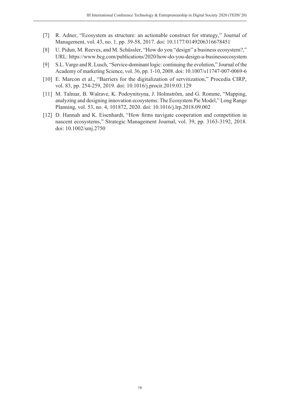- [7] R. Adner, "Ecosystem as structure: an actionable construct for strategy," Journal of Management, vol. 43, no. 1, pp. 39-58, 2017. doi: 10.1177/0149206316678451
- [8] U. Pidun, M. Reeves, and M. Schüssler, "How do you "design" a business ecosystem?," URL: https://www.bcg.com/publications/2020/how-do-you-design-a-businessecosystem
- [9] S.L. Vargo and R. Lusch, "Service-dominant logic: continuing the evolution," Journal of the Academy of marketing Science, vol. 36, pp. 1-10, 2008. doi: 10.1007/s11747-007-0069-6
- [10] E. Marcon et al., "Barriers for the digitalization of servitization," Procedia CIRP, vol. 83, pp. 254-259, 2019. doi: 10.1016/j.procir.2019.03.129
- [11] M. Talmar, B. Walrave, K. Podoynitsyna, J. Holmström, and G. Romme, "Mapping, analyzing and designing innovation ecosystems: The Ecosystem Pie Model," Long Range Planning, vol. 53, no. 4, 101872, 2020. doi: 10.1016/j.lrp.2018.09.002
- [12] D. Hannah and K. Eisenhardt, "How firms navigate cooperation and competition in nascent ecosystems," Strategic Management Journal, vol. 39, pp. 3163-3192, 2018. doi: 10.1002/smj.2750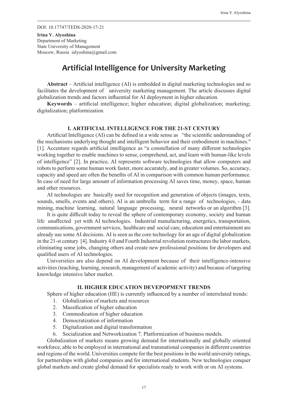DOI: 10.17747/TEDS-2020-17-21

**Irina V. Alyoshina**  Department of Marketing State University of Management Moscow, Russia ialyoshina@gmail.com

# **Artificial Intelligence for University Marketing**

Abstract – Artificial intelligence (AI) is embedded in digital marketing technologies and so facilitates the development of university marketing management. The article discusses digital globalization trends and factors influential for AI deployment in higher education.

**Keywords** – artificial intelligence; higher education; digital globalization; marketing; digitalization; platformization

#### **I. ARTIFICIAL INTELLIGENCE FOR THE 21-ST CENTURY**

Artificial Intelligence (AI) can be defined in a wide sense as "the scientific understanding of the mechanisms underlying thought and intelligent behavior and their embodiment in machines." [1]. Accenture regards artificial intelligence as "a constellation of many different technologies working together to enable machines to sense, comprehend, act, and learn with human-like levels of intelligence" [2]. In practice, AI represents software technologies that allow computers and robots to perform some human work faster, more accurately, and in greater volumes. So, accuracy, capacity and speed are often the benefits of AI in comparison with common human performance. In case of need for large amount of information processing AI saves time, money, space, human and other resources.

AI technologies are basically used for recognition and generation of objects (images, texts, sounds, smells, events and others). AI is an umbrella term for a range of technologies, - data mining, machine learning, natural language processing, neural networks or an algorithm [3].

It is quite difficult today to reveal the sphere of contemporary economy, society and human life unaffected yet with AI technologies. Industrial manufacturing, energetics, transportation, communications, government services, healthcare and social care, education and entertainment are already use some AI decisions. AI is seen as the core technology for an age of digital globalization in the 21-st century [4]. Industry 4.0 and Fourth Industrial revolution restructures the labor markets, eliminating some jobs, changing others and create new professional positions for developers and qualified users of AI technologies.

Universities are also depend on AI development because of their intelligence-intensive activities (teaching, learning, research, management of academic activity) and because of targeting knowledge intensive labor market.

#### **II. HIGHER EDUCATION DEVEPOPMENT TRENDS**

Sphere of higher education (HE) is currently influenced by a number of interrelated trends:

- 1. Globalization of markets and resources
- 2. Massification of higher education
- 3. Commodization of higher education
- 4. Democratization of information
- 5. Digitalization and digital transformation
- 6. Socialization and Networkization 7. Platformization of business models.

Globalization of markets means growing demand for internationally and globally oriented workforce, able to be employed in international and transnational companies in different countries and regions of the world. Universities compete for the best positions in the world university ratings, for partnerships with global companies and for international students. New technologies conquer global markets and create global demand for specialists ready to work with or on AI systems.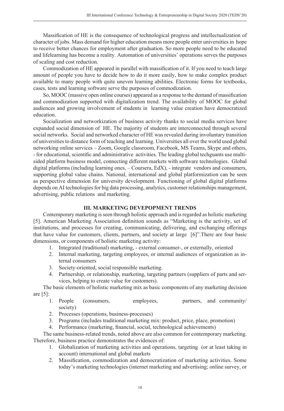Massification of HE is the consequence of technological progress and intellectualization of character of jobs. Mass demand for higher education means more people enter universities in hope to receive better chances for employment after graduation. So more people need to be educated and lifelearning has become a reality. Automation of universities' operations serves the purposes of scaling and cost reduction.

Commodization of HE appeared in parallel with massification of it. If you need to teach large amount of people you have to decide how to do it more easily, how to make complex product available to many people with quite uneven learning abilities. Electronic forms for textbooks, cases, tests and learning software serve the purposes of commodization.

So, MOOC (massive open online courses) appeared as a response to the demand of massification and commodization supported with digitalization trend. The availability of MOOC for global audiences and growing involvement of students in learning value creation have democratized education.

Socialization and networkization of business activity thanks to social media services have expanded social dimension of HE. The majority of students are interconnected through several social networks. Social and networked character of HE was revealed during involuntary transition of universities to distance form of teaching and learning. Universities all over the world used global networking online services – Zoom, Google classroom, Facebook, MS Teams, Skype and others, - for educational, scientific and administrative activities. The leading global techguants use multisided platform business model, connecting different markets with software technologies. Global digital platforms (including learning ones, – Coursera, EdX), - integrate vendors and consumers, supporting global value chains. National, international and global platformization can be seen as perspective dimension for university development. Functioning of global digital platforms depends on AI technologies for big data processing, analytics, customer relationships management, advertising, public relations and marketing.

#### **III. MARKETING DEVEPOPMENT TRENDS**

Contemporary marketing is seen through holistic approach and is regarded as holistic marketing [5]. American Marketing Association definition sounds as "Marketing is the activity, set of institutions, and processes for creating, communicating, delivering, and exchanging offerings that have value for customers, clients, partners, and society at large [6]".There are four basic dimensions, or components of holistic marketing activity:

- 1. Integrated (traditional) marketing, external consumer-, or externally, oriented
- 2. Internal marketing, targeting employees, or internal audiences of organization as internal consumers
- 3. Society-oriented, social responsible marketing.
- 4. Partnership, or relationship, marketing, targeting partners (suppliers of parts and services, helping to create value for customers).

The basic elements of holistic marketing mix as basic components of any marketing decision are  $[5]$ :

- 1. People (consumers, employees, partners, and community/ society)
- 2. Processes (operations, business-processes)
- 3. Programs (includes traditional marketing mix: product, price, place, promotion)
- 4. Performance (marketing, financial, social, technological achievements)

The same business-related trends, noted above are also common for contemporary marketing. Therefore, business practice demonstrates the evidences of:

- 1. Globalization of marketing activities and operations, targeting (or at least taking in account) international and global markets
- 2. Massification, commodization and democratization of marketing activities. Some today's marketing technologies (internet marketing and advertising; online survey, or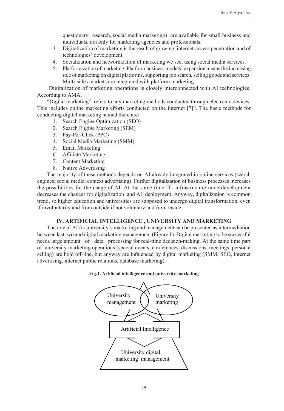questionary, research, social media marketing) are available for small business and individuals, not only for marketing agencies and professionals.

- 3. Digitalization of marketing is the result of growing internet-access penetration and of technologies' development.
- 4. Socialization and networkization of marketing we see, using social media services.
- 5. Platformization of marketing. Platform business models' expansion means the increasing role of marketing on digital platforms, supporting job search, selling goods and services. Multi-sides markets are integrated with platform marketing.

 Digitalization of marketing operations is closely interconnected with AI technologies. According to AMA,

"Digital marketing" refers to any marketing methods conducted through electronic devices. This includes online marketing efforts conducted on the internet  $[7]$ ". The basic methods for conducting digital marketing named there are:

- 1. Search Engine Optimization (SEO)
- 2. Search Engine Marketing (SEM)
- 3. Pay-Per-Click (PPC)
- 4. Social Media Marketing (SMM)
- 5. Email Marketing
- 6. Affiliate Marketing
- 7. Content Marketing
- 8. Native Advertising

The majority of these methods depends on AI already integrated in online services (search engines, social media, context advertising). Further digitalization of business processes increases the possibilities for the usage of AI. At the same time IT- infrastructure underdevelopment decreases the chances for digitalization and AI deployment. Anyway, digitalization is common trend, so higher education and universities are supposed to undergo digital transformation, even if involuntarily and from outside if not voluntary and from inside.

#### **IV. ARTIFICIAL INTELLIGENCE , UNIVERSITY AND MARKETING**

The role of AI for university's marketing and management can be presented as intermediation between last two and digital marketing management (Figure 1). Digital marketing to be successful needs large amount of data processing for real-time decision-making. At the same time part of university marketing operations (special events, conferences, discussions, meetings, personal selling) are hold off-line, but anyway are influenced by digital marketing (SMM, SEO, internet advertising, internet public relations, database marketing).

#### Fig.1. Artificial intelligence and university marketing

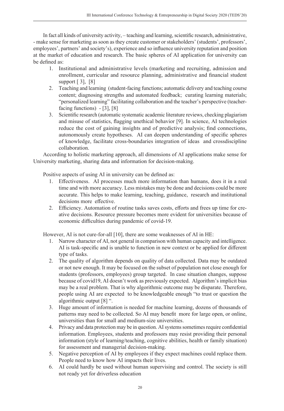In fact all kinds of university activity, – teaching and learning, scientific research, administrative, - make sense for marketing as soon as they create customer or stakeholders' (students', professors', employees', partners' and society's), experience and so influence university reputation and position at the market of education and research. The basic spheres of AI application for university can be defined as:

- 1. Institutional and administrative levels (marketing and recruiting, admission and enrollment, curricular and resource planning, administrative and financial student support [ 3], [8]
- 2. Teaching and learning (student-facing functions; automatic delivery and teaching course content; diagnosing strengths and automated feedback; curating learning materials; "personalized learning" facilitating collaboration and the teacher's perspective (teacherfacing functions) - [3], [8]
- 3. Scientific research (automatic systematic academic literature reviews, checking plagiarism and misuse of statistics, flagging unethical behavior [9]. In science, AI technologies reduce the cost of gaining insights and of predictive analysis; find connections, autonomously create hypotheses. AI can deepen understanding of specific spheres of knowledge, facilitate cross-boundaries integration of ideas and crossdiscipline collaboration.

According to holistic marketing approach, all dimensions of AI applications make sense for University marketing, sharing data and information for decision-making.

Positive aspects of using AI in university can be defined as:

- 1. Effectiveness. AI processes much more information than humans, does it in a real time and with more accuracy. Less mistakes may be done and decisions could be more accurate. This helps to make learning, teaching, guidance, research and institutional decisions more effective.
- 2. Efficiency. Automation of routine tasks saves costs, efforts and frees up time for creative decisions. Resource pressure becomes more evident for universities because of economic difficulties during pandemic of covid-19.

However, AI is not cure-for-all [10], there are some weaknesses of AI in HE:

- 1. Narrow character of AI, not general in comparison with human capacity and intelligence. AI is task-specific and is unable to function in new context or be applied for different type of tasks.
- 2. The quality of algorithm depends on quality of data collected. Data may be outdated or not new enough. It may be focused on the subset of population not close enough for students (professors, employees) group targeted. In case situation changes, suppose because of covid19, AI doesn't work as previously expected. Algorithm's implicit bias may be a real problem. That is why algorithmic outcome may be disparate. Therefore, people using AI are expected to be knowledgeable enough "to trust or question the algorithmic output [8] ".
- 3. Huge amount of information is needed for machine learning, dozens of thousands of patterns may need to be collected. So AI may benefit more for large open, or online, universities than for small and medium-size universities.
- 4. Privacy and data protection may be in question. AI systems sometimes require confidential information. Employees, students and professors may resist providing their personal information (style of learning/teaching, cognitive abilities, health or family situation) for assessment and managerial decision-making.
- 5. Negative perception of AI by employees if they expect machines could replace them. People need to know how AI impacts their lives.
- 6. AI could hardly be used without human supervising and control. The society is still not ready yet for driverless education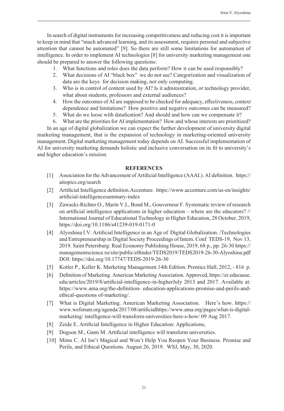In search of digital instruments for increasing competitiveness and reducing cost it is important to keep in mind that "much advanced learning, and its assessment, requires personal and subjective attention that cannot be automated" [9]. So there are still some limitations for automation of intelligence. In order to implement AI technologies [8] for university marketing management one should be prepared to answer the following questions:

- 1. What functions and roles does the data perform? How it can be used responsibly?
- 2. What decisions of AI "black box" we do not see? Categorization and visualization of data are the keys for decision making, not only computing.
- 3. Who is in control of content used by AI? Is it administration, or technology provider, what about students, professors and external audiences?
- 4. How the outcomes of AI are supposed to be checked for adequacy, effectiveness, context dependence and limitations? How positive and negative outcomes can be measured?
- 5. What do we loose with datafication? And should and how can we compensate it?
- 6. What are the priorities for AI implementation? How and whose interests are prioritized?

In an age of digital globalization we can expect the further development of university digital marketing management, that is the expansion of technology in marketing-oriented university management. Digital marketing management today depends on AI. Successful implementation of AI for university marketing demands holistic and inclusive conversation on its fit to university's and higher education's mission.

- [1] Association for the Advancement of Artificial Intelligence (AAAI.). AI definition. https:// aitopics.org/search
- [2] Artificial Intelligence definition.Accenture. https://www.accenture.com/us-en/insights/ artificial-intelligencesummary-index
- [3] Zawacki-Richter O., Marín V.I., Bond M., Gouverneur F. Systematic review of research on artificial intelligence applications in higher education – where are the educators?  $//$ International Journal of Educational Technology in Higher Education, 28 October, 2019, https://doi.org/10.1186/s41239-019-0171-0
- [4] Alyoshina I.V. Artificial Intelligence in an Age of Digital Globalization. /Technologies and Entrepreneurship in Digital Society Proceedings of Intern. Conf TEDS-19, Nov 13, 2019. Saint Petersburg: Real Economy Publishing House, 2019, 68 p., pp. 26-30 https:// managementscience.ru/site/public/elfinder/TEDS2019/TEDS2019-26-30-Alyoshina.pdf DOI: https://doi.org/10.17747/TEDS-2019-26-30
- [5] Kotler P., Keller K. Marketing Management.14th Edition. Prentice Hall, 2012, 816 p.
- [6] Definition of Marketing. American Marketing Association. Approved, https://er.educause. edu/articles/2019/8/artificial-intelligence-in-higherJuly 2013 and 2017. Available at: https://www.ama.org/the-definition- education-applications-promise-and-perils-andethical-questions of-marketing/.
- [7] What is Digital Marketing. American Marketing Association. Here's how. https:// www.weforum.org/agenda/2017/08/artificialhttps://www.ama.org/pages/what-is-digitalmarketing/ intelligence-will-transform-universities-here-s-how/ 09 Aug 2017.
- [8] Zeide E. Artificial Intelligence in Higher Education: Applications,
- [9] Dogson M., Gann M. Artificial intelligence will transform universities.
- [10] Mims C. AI Isn't Magical and Won't Help You Reopen Your Business. Promise and Perils, and Ethical Questions. August 26, 2019. WSJ, May, 30, 2020.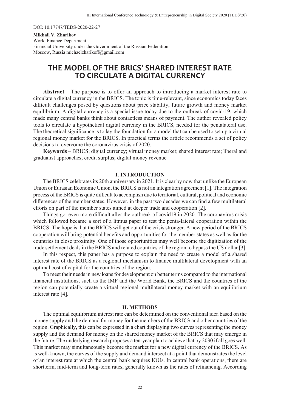DOI: 10.17747/TEDS-2020-22-27

#### **Mikhail V. Zharikov**  World Finance Department Financial University under the Government of the Russian Federation Moscow, Russia michaelzharikoff@gmail.com

# **THE MODEL OF THE BRICS' SHARED INTEREST RATE TO CIRCULATE A DIGITAL CURRENCY**

**Abstract** – The purpose is to offer an approach to introducing a market interest rate to circulate a digital currency in the BRICS. The topic is time-relevant, since economics today faces difficult challenges posed by questions about price stability, future growth and money market equilibrium. A digital currency is a special issue today due to the outbreak of covid-19, which made many central banks think about contactless means of payment. The author revealed policy tools to circulate a hypothetical digital currency in the BRICS, needed for the pentalateral use. The theoretical significance is to lay the foundation for a model that can be used to set up a virtual regional money market for the BRICS. In practical terms the article recommends a set of policy decisions to overcome the coronavirus crisis of 2020.

**Keywords** – BRICS; digital currency; virtual money market; shared interest rate; liberal and gradualist approaches; credit surplus; digital money revenue

#### **I. INTRODUCTION**

The BRICS celebrates its 20th anniversary in 2021. It is clear by now that unlike the European Union or Eurasian Economic Union, the BRICS is not an integration agreement [1]. The integration process of the BRICS is quite difficult to accomplish due to territorial, cultural, political and economic differences of the member states. However, in the past two decades we can find a few multilateral efforts on part of the member states aimed at deeper trade and cooperation [2].

Things got even more difficult after the outbreak of covid19 in 2020. The coronavirus crisis which followed became a sort of a litmus paper to test the penta-lateral cooperation within the BRICS. The hope is that the BRICS will get out of the crisis stronger. A new period of the BRICS cooperation will bring potential benefits and opportunities for the member states as well as for the countries in close proximity. One of those opportunities may well become the digitization of the trade settlement deals in the BRICS and related countries of the region to bypass the US dollar [3].

In this respect, this paper has a purpose to explain the need to create a model of a shared interest rate of the BRICS as a regional mechanism to finance multilateral development with an optimal cost of capital for the countries of the region.

To meet their needs in new loans for development on better terms compared to the international financial institutions, such as the IMF and the World Bank, the BRICS and the countries of the region can potentially create a virtual regional multilateral money market with an equilibrium interest rate [4].

#### **II. METHODS**

The optimal equilibrium interest rate can be determined on the conventional idea based on the money supply and the demand for money for the members of the BRICS and other countries of the region. Graphically, this can be expressed in a chart displaying two curves representing the money supply and the demand for money on the shared money market of the BRICS that may emerge in the future. The underlying research proposes a ten-year plan to achieve that by 2030 if all goes well. This market may simultaneously become the market for a new digital currency of the BRICS. As is well-known, the curves of the supply and demand intersect at a point that demonstrates the level of an interest rate at which the central bank acquires IOUs. In central bank operations, there are shortterm, mid-term and long-term rates, generally known as the rates of refinancing. According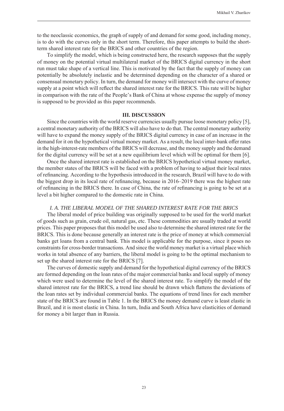to the neoclassic economics, the graph of supply of and demand for some good, including money, is to do with the curves only in the short term. Therefore, this paper attempts to build the shortterm shared interest rate for the BRICS and other countries of the region.

To simplify the model, which is being constructed here, the research supposes that the supply of money on the potential virtual multilateral market of the BRICS digital currency in the short run must take shape of a vertical line. This is motivated by the fact that the supply of money can potentially be absolutely inelastic and be determined depending on the character of a shared or consensual monetary policy. In turn, the demand for money will intersect with the curve of money supply at a point which will reflect the shared interest rate for the BRICS. This rate will be higher in comparison with the rate of the People's Bank of China at whose expense the supply of money is supposed to be provided as this paper recommends.

#### **III. DISCUSSION**

Since the countries with the world reserve currencies usually pursue loose monetary policy [5], a central monetary authority of the BRICS will also have to do that. The central monetary authority will have to expand the money supply of the BRICS digital currency in case of an increase in the demand for it on the hypothetical virtual money market. As a result, the local inter-bank offer rates in the high-interest-rate members of the BRICS will decrease, and the money supply and the demand for the digital currency will be set at a new equilibrium level which will be optimal for them [6].

Once the shared interest rate is established on the BRICS hypothetical virtual money market, the member states of the BRICS will be faced with a problem of having to adjust their local rates of refinancing. According to the hypothesis introduced in the research, Brazil will have to do with the biggest drop in its local rate of refinancing, because in  $2016-2019$  there was the highest rate of refinancing in the BRICS there. In case of China, the rate of refinancing is going to be set at a level a bit higher compared to the domestic rate in China.

#### *I. A. THE LIBERAL MODEL OF THE SHARED INTEREST RATE FOR THE BRICS*

The liberal model of price building was originally supposed to be used for the world market of goods such as grain, crude oil, natural gas, etc. These commodities are usually traded at world prices. This paper proposes that this model be used also to determine the shared interest rate for the BRICS. This is done because generally an interest rate is the price of money at which commercial banks get loans from a central bank. This model is applicable for the purpose, since it poses no constraints for cross-border transactions. And since the world money market is a virtual place which works in total absence of any barriers, the liberal model is going to be the optimal mechanism to set up the shared interest rate for the BRICS [7].

The curves of domestic supply and demand for the hypothetical digital currency of the BRICS are formed depending on the loan rates of the major commercial banks and local supply of money which were used to determine the level of the shared interest rate. To simplify the model of the shared interest rate for the BRICS, a trend line should be drawn which flattens the deviations of the loan rates set by individual commercial banks. The equations of trend lines for each member state of the BRICS are found in Table 1. In the BRICS the money demand curve is least elastic in Brazil, and it is most elastic in China. In turn, India and South Africa have elasticities of demand for money a bit larger than in Russia.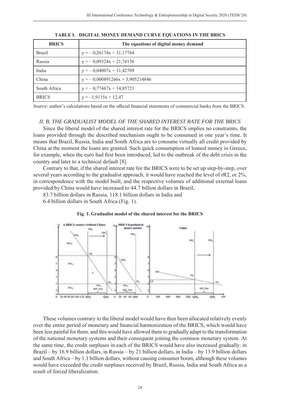| <b>BRICS</b>  | The equations of digital money demand |
|---------------|---------------------------------------|
| <b>Brazil</b> | $y = -0.26174x + 31,17764$            |
| Russia        | $y = -0.09324x + 21.74156$            |
| India         | $y = -0.04007x + 11.42709$            |
| China         | $y = -0.000891266x + 3.905214846$     |
| South Africa  | $y = -0.77467x + 14.85721$            |
| <b>BRICS</b>  | $y = -1,9115x + 12,47$                |

**TABLE I. DIGITAL MONEY DEMAND CURVE EQUATIONS IN THE BRICS** 

*Source:* author's calculations based on the official financial statements of commercial banks from the BRICS.

#### *II. B. THE GRADUALIST MODEL OF THE SHARED INTEREST RATE FOR THE BRICS*

Since the liberal model of the shared interest rate for the BRICS implies no constraints, the loans provided through the described mechanism ought to be consumed in one year's time. It means that Brazil, Russia, India and South Africa are to consume virtually all credit provided by China at the moment the loans are granted. Such quick consumption of loaned money in Greece, for example, when the euro had first been introduced, led to the outbreak of the debt crisis in the country and later to a technical default [8].

Contrary to that, if the shared interest rate for the BRICS were to be set up step-by-step, over several years according to the gradualist approach, it would have reached the level of rR2, or 2%, in correspondence with the model built, and the respective volumes of additional external loans provided by China would have increased to 44.7 billion dollars in Brazil,

83.7 billion dollars in Russia, 118.1 billion dollars in India and

6.4 billion dollars in South Africa (Fig. 1).

#### **Fig. 1. Gradualist model of the shared interest for the BRICS**



These volumes contrary to the liberal model would have then been allocated relatively evenly over the entire period of monetary and financial harmonization of the BRICS, which would have been less painful for them, and this would have allowed them to gradually adapt to the transformation of the national monetary systems and their consequent joining the common monetary system. At the same time, the credit surpluses in each of the BRICS would have also increased gradually: in Brazil – by 16.9 billion dollars, in Russia – by 21 billion dollars, in India – by 13.9 billion dollars and South Africa – by 1.1 billion dollars, without causing consumer boom, although these volumes would have exceeded the credit surpluses received by Brazil, Russia, India and South Africa as a result of forced liberalization.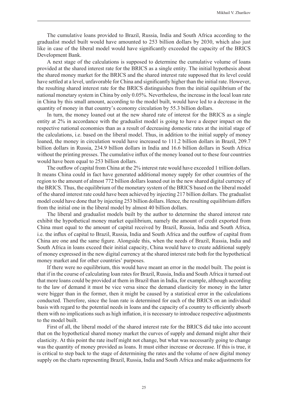The cumulative loans provided to Brazil, Russia, India and South Africa according to the gradualist model built would have amounted to 253 billion dollars by 2030, which also just like in case of the liberal model would have significantly exceeded the capacity of the BRICS Development Bank.

A next stage of the calculations is supposed to determine the cumulative volume of loans provided at the shared interest rate for the BRICS as a single entity. The initial hypothesis about the shared money market for the BRICS and the shared interest rate supposed that its level could have settled at a level, unfavorable for China and significantly higher than the initial rate. However, the resulting shared interest rate for the BRICS distinguishes from the initial equilibrium of the national monetary system in China by only 0.05%. Nevertheless, the increase in the local loan rate in China by this small amount, according to the model built, would have led to a decrease in the quantity of money in that country's economy circulation by 55.3 billion dollars.

In turn, the money loaned out at the new shared rate of interest for the BRICS as a single entity at 2% in accordance with the gradualist model is going to have a deeper impact on the respective national economies than as a result of decreasing domestic rates at the initial stage of the calculations, i.e. based on the liberal model. Thus, in addition to the initial supply of money loaned, the money in circulation would have increased to 111.2 billion dollars in Brazil, 209.7 billion dollars in Russia, 234.9 billion dollars in India and 16.6 billion dollars in South Africa without the printing presses. The cumulative influx of the money loaned out to these four countries would have been equal to 253 billion dollars.

The outflow of capital from China at the 2% interest rate would have exceeded 1 trillion dollars. It means China could in fact have generated additional money supply for other countries of the region to the amount of almost 772 billion dollars loaned out in the new shared digital currency of the BRICS. Thus, the equilibrium of the monetary system of the BRICS based on the liberal model of the shared interest rate could have been achieved by injecting 217 billion dollars. The gradualist model could have done that by injecting 253 billion dollars. Hence, the resulting equilibrium differs from the initial one in the liberal model by almost 40 billion dollars.

The liberal and gradualist models built by the author to determine the shared interest rate exhibit the hypothetical money market equilibrium, namely the amount of credit exported from China must equal to the amount of capital received by Brazil, Russia, India and South Africa, i.e. the influx of capital to Brazil, Russia, India and South Africa and the outflow of capital from China are one and the same figure. Alongside this, when the needs of Brazil, Russia, India and South Africa in loans exceed their initial capacity, China would have to create additional supply of money expressed in the new digital currency at the shared interest rate both for the hypothetical money market and for other countries' purposes.

If there were no equilibrium, this would have meant an error in the model built. The point is that if in the course of calculating loan rates for Brazil, Russia, India and South Africa it turned out that more loans could be provided at them in Brazil than in India, for example, although according to the law of demand it must be vice versa since the demand elasticity for money in the latter were bigger than in the former, then it might be caused by a statistical error in the calculations conducted. Therefore, since the loan rate is determined for each of the BRICS on an individual basis with regard to the potential needs in loans and the capacity of a country to efficiently absorb them with no implications such as high inflation, it is necessary to introduce respective adjustments to the model built.

First of all, the liberal model of the shared interest rate for the BRICS did take into account that on the hypothetical shared money market the curves of supply and demand might alter their elasticity. At this point the rate itself might not change, but what was necessarily going to change was the quantity of money provided as loans. It must either increase or decrease. If this is true, it is critical to step back to the stage of determining the rates and the volume of new digital money supply on the charts representing Brazil, Russia, India and South Africa and make adjustments for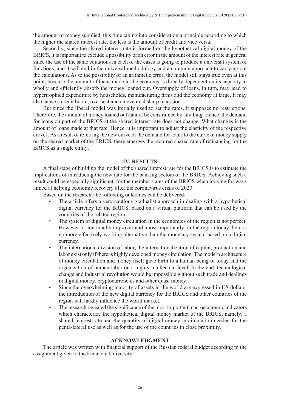the amount of money supplied, this time taking into consideration a principle according to which the higher the shared interest rate, the less is the amount of credit and vice versa.

Secondly, since the shared interest rate is formed on the hypothetical digital money of the BRICS, it is important to exclude a possibility of an error in the amount of the interest rate in general since the use of the same equations in each of the cases is going to produce a universal system of functions, and it will end in the universal methodology and a common approach to carrying out the calculations. As to the possibility of an arithmetic error, the model still stays true even at this point, because the amount of loans made in the economy is directly dependent on its capacity to wholly and efficiently absorb the money loaned out. Oversupply of loans, in turn, may lead to hypertrophied expenditure by households, manufacturing firms and the economy at large. It may also cause a credit boom, overheat and an eventual sharp recession.

But since the liberal model was initially used to set the rates, it supposes no restrictions. Therefore, the amount of money loaned out cannot be constrained by anything. Hence, the demand for loans on part of the BRICS at the shared interest rate does not change. What changes is the amount of loans made at that rate. Hence, it is important to adjust the elasticity of the respective curves. As a result of referring the new curve of the demand for loans to the curve of money supply on the shared market of the BRICS, there emerges the required shared rate of refinancing for the BRICS as a single entity.

#### **IV. RESULTS**

A final stage of building the model of the shared interest rate for the BRICS is to estimate the implications of introducing the new rate for the banking sectors of the BRICS. Achieving such a result could be especially significant, for the member states of the BRICS when looking for ways aimed at helping economic recovery after the coronavirus crisis of 2020.

Based on the research, the following outcomes can be delivered:

- The article offers a very cautious gradualist approach in dealing with a hypothetical digital currency for the BRICS, based on a virtual platform that can be used by the countries of the related region.
- The system of digital money circulation in the economies of the region is not perfect. However, it continually improves and, most importantly, in the region today there is no more effectively working alternative than the monetary system based on a digital currency.
- The international division of labor, the internationalization of capital, production and labor exist only if there is highly developed money circulation. The modern architecture of money circulation and money itself gave birth to a human being of today and the organization of human labor on a highly intellectual level. In the end, technological change and industrial revolution would be impossible without such trade and dealings in digital money, cryptocurrencies and other quasi money.
- Since the overwhelming majority of assets in the world are expressed in US dollars, the introduction of the new digital currency for the BRICS and other countries of the region will hardly influence the world market.
- The research revealed the significance of the most important macroeconomic indicators which characterize the hypothetical digital money market of the BRICS, namely, a shared interest rate and the quantity of digital money in circulation needed for the penta-lateral use as well as for the use of the countries in close proximity.

#### **ACKNOWLEDGMENT**

The article was written with financial support of the Russian federal budget according to the assignment given to the Financial University.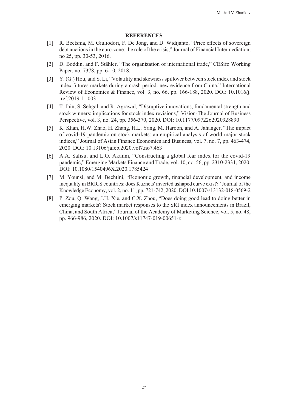- [1] R. Beetsma, M. Giuliodori, F. De Jong, and D. Widijanto, "Price effects of sovereign debt auctions in the euro-zone: the role of the crisis," Journal of Financial Intermediation, no 25, pp. 30-53, 2016.
- [2] D. Boddin, and F. Stähler, "The organization of international trade," CESifo Working Paper, no. 7378, pp. 6-10, 2018.
- [3] Y. (G.) Hou, and S. Li, "Volatility and skewness spillover between stock index and stock index futures markets during a crash period: new evidence from China," International Review of Economics & Finance, vol. 3, no. 66, pp. 166-188, 2020. DOI: 10.1016/j. iref.2019.11.003
- [4] T. Jain, S. Sehgal, and R. Agrawal, "Disruptive innovations, fundamental strength and stock winners: implications for stock index revisions," Vision-The Journal of Business Perspective, vol. 3, no. 24, pp. 356-370, 2020. DOI: 10.1177/0972262920928890
- [5] K. Khan, H.W. Zhao, H. Zhang, H.L. Yang, M. Haroon, and A. Jahanger, "The impact of covid-19 pandemic on stock markets: an empirical analysis of world major stock indices," Journal of Asian Finance Economics and Business, vol. 7, no. 7, pp. 463-474, 2020. DOI: 10.13106/jafeb.2020.vol7.no7.463
- [6] A.A. Salisu, and L.O. Akanni, "Constructing a global fear index for the covid-19 pandemic," Emerging Markets Finance and Trade, vol. 10, no. 56, pp. 2310-2331, 2020. DOI: 10.1080/1540496X.2020.1785424
- [7] M. Younsi, and M. Bechtini, "Economic growth, financial development, and income inequality in BRICS countries: does Kuznets' inverted ushaped curve exist?" Journal of the Knowledge Economy, vol. 2, no. 11, pp. 721-742, 2020. DOI 10.1007/s13132-018-0569-2
- [8] P. Zou, Q. Wang, J.H. Xie, and C.X. Zhou, "Does doing good lead to doing better in emerging markets? Stock market responses to the SRI index announcements in Brazil, China, and South Africa," Journal of the Academy of Marketing Science, vol. 5, no. 48, pp. 966-986, 2020. DOI: 10.1007/s11747-019-00651-z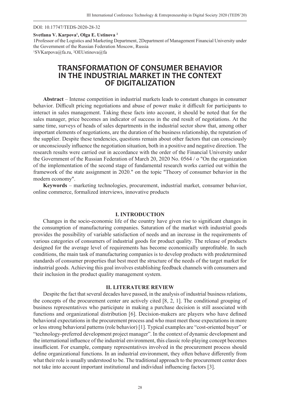DOI: 10.17747/TEDS-2020-28-32

**Svetlana V. Karpova1 , Olga E. Ustinova 2**

1Professor of the Logistics and Marketing Department, 2Department of Management Financial University under the Government of the Russian Federation Moscow, Russia

1 SVKarpova@fa.ru, 2 OEUstinova@fa

# **TRANSFORMATION OF CONSUMER BEHAVIOR IN THE INDUSTRIAL MARKET IN THE CONTEXT OF DIGITALIZATION**

**Abstract** – Intense competition in industrial markets leads to constant changes in consumer behavior. Difficult pricing negotiations and abuse of power make it difficult for participants to interact in sales management. Taking these facts into account, it should be noted that for the sales manager, price becomes an indicator of success in the end result of negotiations. At the same time, surveys of heads of sales departments in the industrial sector show that, among other important elements of negotiations, are the duration of the business relationship, the reputation of the supplier. Despite these tendencies, questions remain about other factors that can consciously or unconsciously influence the negotiation situation, both in a positive and negative direction. The research results were carried out in accordance with the order of the Financial University under the Government of the Russian Federation of March 20, 2020 No. 0564 / o "On the organization of the implementation of the second stage of fundamental research works carried out within the framework of the state assignment in 2020." on the topic "Theory of consumer behavior in the modern economy".

**Keywords** – marketing technologies, procurement, industrial market, consumer behavior, online commerce, formalized interviews, innovative products

#### **I. INTRODUCTION**

Changes in the socio-economic life of the country have given rise to significant changes in the consumption of manufacturing companies. Saturation of the market with industrial goods provides the possibility of variable satisfaction of needs and an increase in the requirements of various categories of consumers of industrial goods for product quality. The release of products designed for the average level of requirements has become economically unprofitable. In such conditions, the main task of manufacturing companies is to develop products with predetermined standards of consumer properties that best meet the structure of the needs of the target market for industrial goods. Achieving this goal involves establishing feedback channels with consumers and their inclusion in the product quality management system.

#### **II. LITERATURE REVIEW**

Despite the fact that several decades have passed, in the analysis of industrial business relations, the concepts of the procurement center are actively cited [8, 2, 1]. The conditional grouping of business representatives who participate in making a purchase decision is still associated with functions and organizational distribution  $[6]$ . Decision-makers are players who have defined behavioral expectations in the procurement process and who must meet those expectations in more or less strong behavioral patterns (role behavior) [1]. Typical examples are "cost-oriented buyer" or "technology-preferred development project manager". In the context of dynamic development and the international influence of the industrial environment, this classic role-playing concept becomes insufficient. For example, company representatives involved in the procurement process should define organizational functions. In an industrial environment, they often behave differently from what their role is usually understood to be. The traditional approach to the procurement center does not take into account important institutional and individual influencing factors [3].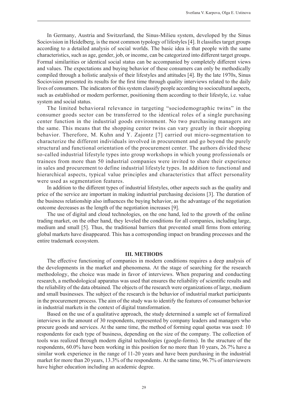In Germany, Austria and Switzerland, the Sinus-Milieu system, developed by the Sinus Sociovision in Heidelberg, is the most common typology of lifestyles [4]. It classifies target groups according to a detailed analysis of social worlds. The basic idea is that people with the same characteristics, such as age, gender, job, or income, can be categorized into different target groups. Formal similarities or identical social status can be accompanied by completely different views and values. The expectations and buying behavior of these consumers can only be methodically compiled through a holistic analysis of their lifestyles and attitudes [4]. By the late 1970s, Sinus Sociovision presented its results for the first time through quality interviews related to the daily lives of consumers. The indicators of this system classify people according to sociocultural aspects, such as established or modern performer, positioning them according to their lifestyle, i.e. value system and social status.

The limited behavioral relevance in targeting "sociodemographic twins" in the consumer goods sector can be transferred to the identical roles of a single purchasing center function in the industrial goods environment. No two purchasing managers are the same. This means that the shopping center twins can vary greatly in their shopping behavior. Therefore, M. Kuhn and Y. Zajontz [7] carried out micro-segmentation to characterize the different individuals involved in procurement and go beyond the purely structural and functional orientation of the procurement center. The authors divided these so-called industrial lifestyle types into group workshops in which young professionals or trainees from more than 50 industrial companies were invited to share their experience in sales and procurement to define industrial lifestyle types. In addition to functional and hierarchical aspects, typical value principles and characteristics that affect personality were used as segmentation features.

In addition to the different types of industrial lifestyles, other aspects such as the quality and price of the service are important in making industrial purchasing decisions [3]. The duration of the business relationship also influences the buying behavior, as the advantage of the negotiation outcome decreases as the length of the negotiation increases [9].

The use of digital and cloud technologies, on the one hand, led to the growth of the online trading market, on the other hand, they leveled the conditions for all companies, including large, medium and small [5]. Thus, the traditional barriers that prevented small firms from entering global markets have disappeared. This has a corresponding impact on branding processes and the entire trademark ecosystem.

#### **III. METHODS**

The effective functioning of companies in modern conditions requires a deep analysis of the developments in the market and phenomena. At the stage of searching for the research methodology, the choice was made in favor of interviews. When preparing and conducting research, a methodological apparatus was used that ensures the reliability of scientific results and the reliability of the data obtained. The objects of the research were organizations of large, medium and small businesses. The subject of the research is the behavior of industrial market participants in the procurement process. The aim of the study was to identify the features of consumer behavior in industrial markets in the context of digital transformation.

Based on the use of a qualitative approach, the study determined a sample set of formalized interviews in the amount of 30 respondents, represented by company leaders and managers who procure goods and services. At the same time, the method of forming equal quotas was used: 10 respondents for each type of business, depending on the size of the company. The collection of tools was realized through modern digital technologies (google-forms). In the structure of the respondents, 60.0% have been working in this position for no more than 10 years, 26.7% have a similar work experience in the range of 11-20 years and have been purchasing in the industrial market for more than 20 years, 13.3% of the respondents. At the same time, 96.7% of interviewers have higher education including an academic degree.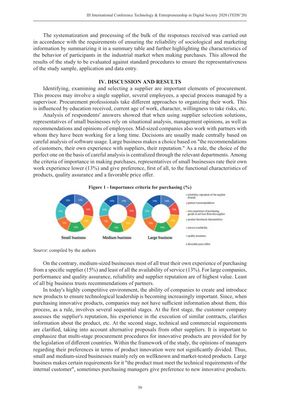The systematization and processing of the bulk of the responses received was carried out in accordance with the requirements of ensuring the reliability of sociological and marketing information by summarizing it in a summary table and further highlighting the characteristics of the behavior of participants in the industrial market when making purchases. This allowed the results of the study to be evaluated against standard procedures to ensure the representativeness of the study sample, application and data entry.

#### **IV. DISCUSSION AND RESULTS**

Identifying, examining and selecting a supplier are important elements of procurement. This process may involve a single supplier, several employees, a special process managed by a supervisor. Procurement professionals take different approaches to organizing their work. This is influenced by education received, current age of work, character, willingness to take risks, etc.

Analysis of respondents' answers showed that when using supplier selection solutions, representatives of small businesses rely on situational analysis, management opinions, as well as recommendations and opinions of employees. Mid-sized companies also work with partners with whom they have been working for a long time. Decisions are usually made centrally based on careful analysis of software usage. Large business makes a choice based on "the recommendations of customers, their own experience with suppliers, their reputation." As a rule, the choice of the perfect one on the basis of careful analysis is centralized through the relevant departments. Among the criteria of importance in making purchases, representatives of small businesses rate their own work experience lower (13%) and give preference, first of all, to the functional characteristics of products, quality assurance and a favorable price offer.



*Source*: compiled by the authors

On the contrary, medium-sized businesses most of all trust their own experience of purchasing from a specific supplier  $(15%)$  and least of all the availability of service  $(13%)$ . For large companies, performance and quality assurance, reliability and supplier reputation are of highest value. Least of all big business trusts recommendations of partners.

In today's highly competitive environment, the ability of companies to create and introduce new products to ensure technological leadership is becoming increasingly important. Since, when purchasing innovative products, companies may not have sufficient information about them, this process, as a rule, involves several sequential stages. At the first stage, the customer company assesses the supplier's reputation, his experience in the execution of similar contracts, clarifies information about the product, etc. At the second stage, technical and commercial requirements are clarified, taking into account alternative proposals from other suppliers. It is important to emphasize that multi-stage procurement procedures for innovative products are provided for by the legislation of different countries. Within the framework of the study, the opinions of managers regarding their preferences in terms of product innovation were not significantly divided. Thus, small and medium-sized businesses mainly rely on wellknown and market-tested products. Large business makes certain requirements for it "the product must meet the technical requirements of the internal customer", sometimes purchasing managers give preference to new innovative products.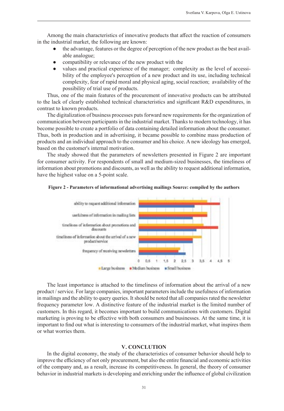Among the main characteristics of innovative products that affect the reaction of consumers in the industrial market, the following are known:

- the advantage, features or the degree of perception of the new product as the best available analogue;
- compatibility or relevance of the new product with the
- values and practical experience of the manager; complexity as the level of accessibility of the employee's perception of a new product and its use, including technical complexity, fear of rapid moral and physical aging, social reaction; availability of the possibility of trial use of products.

Thus, one of the main features of the procurement of innovative products can be attributed to the lack of clearly established technical characteristics and significant R&D expenditures, in contrast to known products.

The digitalization of business processes puts forward new requirements for the organization of communication between participants in the industrial market. Thanks to modern technology, it has become possible to create a portfolio of data containing detailed information about the consumer. Thus, both in production and in advertising, it became possible to combine mass production of products and an individual approach to the consumer and his choice. A new ideology has emerged, based on the customer's internal motivation.

The study showed that the parameters of newsletters presented in Figure 2 are important for consumer activity. For respondents of small and medium-sized businesses, the timeliness of information about promotions and discounts, as well as the ability to request additional information, have the highest value on a 5-point scale.





The least importance is attached to the timeliness of information about the arrival of a new product / service. For large companies, important parameters include the usefulness of information in mailings and the ability to query queries. It should be noted that all companies rated the newsletter frequency parameter low. A distinctive feature of the industrial market is the limited number of customers. In this regard, it becomes important to build communications with customers. Digital marketing is proving to be effective with both consumers and businesses. At the same time, it is important to find out what is interesting to consumers of the industrial market, what inspires them or what worries them.

#### **V. CONCLUTION**

In the digital economy, the study of the characteristics of consumer behavior should help to improve the efficiency of not only procurement, but also the entire financial and economic activities of the company and, as a result, increase its competitiveness. In general, the theory of consumer behavior in industrial markets is developing and enriching under the influence of global civilization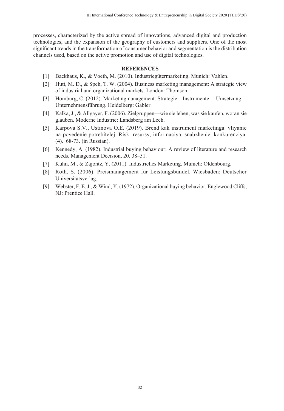processes, characterized by the active spread of innovations, advanced digital and production technologies, and the expansion of the geography of customers and suppliers. One of the most significant trends in the transformation of consumer behavior and segmentation is the distribution channels used, based on the active promotion and use of digital technologies.

- [1] Backhaus, K., & Voeth, M. (2010). Industriegütermarketing. Munich: Vahlen.
- [2] Hutt, M. D., & Speh, T. W. (2004). Business marketing management: A strategic view of industrial and organizational markets. London: Thomson.
- [3] Homburg, C. (2012). Marketingmanagement: Strategie—Instrumente— Umsetzung— Unternehmensführung. Heidelberg: Gabler.
- [4] Kalka, J., & Allgayer, F. (2006). Zielgruppen—wie sie leben, was sie kaufen, woran sie glauben. Moderne Industrie: Landsberg am Lech.
- [5] Karpova S.V., Ustinova O.E. (2019). Brend kak instrument marketinga: vliyanie na povedenie potrebitelej. Risk: resursy, informaciya, snabzhenie, konkurenciya. (4). 68-73. (in Russian).
- [6] Kennedy, A. (1982). Industrial buying behaviour: A review of literature and research needs. Management Decision, 20, 38–51.
- [7] Kuhn, M., & Zajontz, Y. (2011). Industrielles Marketing. Munich: Oldenbourg.
- [8] Roth, S. (2006). Preismanagement für Leistungsbündel. Wiesbaden: Deutscher Universitätsverlag.
- [9] Webster, F. E. J., & Wind, Y. (1972). Organizational buying behavior. Englewood Cliffs, NJ: Prentice Hall.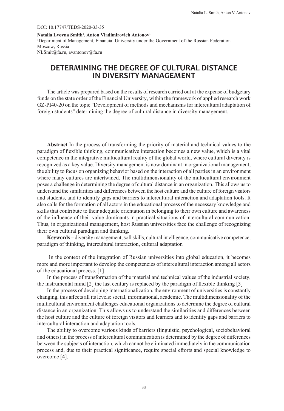#### DOI: 10.17747/TEDS-2020-33-35

**Natalia Lvovna Smith1 , Anton Vladimirovich Antonov1** 1 Department of Management, Financial University under the Government of the Russian Federation Moscow, Russia NLSmit@fa.ru, avantonov@fa.ru

# **DETERMINING THE DEGREE OF CULTURAL DISTANCE IN DIVERSITY MANAGEMENT**

The article was prepared based on the results of research carried out at the expense of budgetary funds on the state order of the Financial University, within the framework of applied research work GZ-PI40-20 on the topic "Development of methods and mechanisms for intercultural adaptation of foreign students" determining the degree of cultural distance in diversity management.

**Abstract** In the process of transforming the priority of material and technical values to the paradigm of flexible thinking, communicative interaction becomes a new value, which is a vital competence in the integrative multicultural reality of the global world, where cultural diversity is recognized as a key value. Diversity management is now dominant in organizational management, the ability to focus on organizing behavior based on the interaction of all parties in an environment where many cultures are intertwined. The multidimensionality of the multicultural environment poses a challenge in determining the degree of cultural distance in an organization. This allows us to understand the similarities and differences between the host culture and the culture of foreign visitors and students, and to identify gaps and barriers to intercultural interaction and adaptation tools. It also calls for the formation of all actors in the educational process of the necessary knowledge and skills that contribute to their adequate orientation in belonging to their own culture and awareness of the influence of their value dominants in practical situations of intercultural communication. Thus, in organizational management, host Russian universities face the challenge of recognizing their own cultural paradigm and thinking.

**Keywords** – diversity management, soft skills, cultural intelligence, communicative competence, paradigm of thinking, intercultural interaction, cultural adaptation

 In the context of the integration of Russian universities into global education, it becomes more and more important to develop the competencies of intercultural interaction among all actors of the educational process. [1]

In the process of transformation of the material and technical values of the industrial society, the instrumental mind  $[2]$  the last century is replaced by the paradigm of flexible thinking  $[3]$ 

In the process of developing internationalization, the environment of universities is constantly changing, this aff ects all its levels: social, informational, academic. The multidimensionality of the multicultural environment challenges educational organizations to determine the degree of cultural distance in an organization. This allows us to understand the similarities and differences between the host culture and the culture of foreign visitors and learners and to identify gaps and barriers to intercultural interaction and adaptation tools.

The ability to overcome various kinds of barriers (linguistic, psychological, sociobehavioral and others) in the process of intercultural communication is determined by the degree of differences between the subjects of interaction, which cannot be eliminated immediately in the communication process and, due to their practical significance, require special efforts and special knowledge to overcome [4].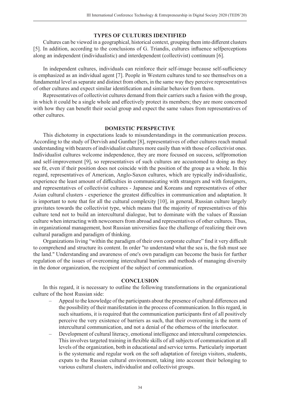#### **TYPES OF CULTURES IDENTIFIED**

Cultures can be viewed in a geographical, historical context, grouping them into different clusters [5]. In addition, according to the conclusions of G. Triandis, cultures influence selfperceptions along an independent (individualistic) and interdependent (collectivist) continuum [6].

In independent cultures, individuals can reinforce their self-image because self-sufficiency is emphasized as an individual agent [7]. People in Western cultures tend to see themselves on a fundamental level as separate and distinct from others, in the same way they perceive representatives of other cultures and expect similar identification and similar behavior from them.

Representatives of collectivist cultures demand from their carriers such a fusion with the group, in which it could be a single whole and effectively protect its members; they are more concerned with how they can benefit their social group and expect the same values from representatives of other cultures.

#### **DOMESTIC PERSPECTIVE**

This dichotomy in expectations leads to misunderstandings in the communication process. According to the study of Dervish and Gunther [8], representatives of other cultures reach mutual understanding with bearers of individualist cultures more easily than with those of collectivist ones. Individualist cultures welcome independence, they are more focused on success, selfpromotion and self-improvement [9], so representatives of such cultures are accustomed to doing as they see fit, even if their position does not coincide with the position of the group as a whole. In this regard, representatives of American, Anglo-Saxon cultures, which are typically individualistic, experience the least amount of difficulties in communicating with strangers and with foreigners, and representatives of collectivist cultures - Japanese and Koreans and representatives of other Asian cultural clusters - experience the greatest difficulties in communication and adaptation. It is important to note that for all the cultural complexity [10], in general, Russian culture largely gravitates towards the collectivist type, which means that the majority of representatives of this culture tend not to build an intercultural dialogue, but to dominate with the values of Russian culture when interacting with newcomers from abroad and representatives of other cultures. Thus, in organizational management, host Russian universities face the challenge of realizing their own cultural paradigm and paradigm of thinking.

Organizations living "within the paradigm of their own corporate culture" find it very difficult to comprehend and structure its content. In order "to understand what the sea is, the fish must see the land." Understanding and awareness of one's own paradigm can become the basis for further regulation of the issues of overcoming intercultural barriers and methods of managing diversity in the donor organization, the recipient of the subject of communication.

#### **CONCLUSION**

In this regard, it is necessary to outline the following transformations in the organizational culture of the host Russian side:

- Appeal to the knowledge of the participants about the presence of cultural differences and the possibility of their manifestation in the process of communication. In this regard, in such situations, it is required that the communication participants first of all positively perceive the very existence of barriers as such, that their overcoming is the norm of intercultural communication, and not a denial of the otherness of the interlocutor.
- Development of cultural literacy, emotional intelligence and intercultural competencies. This involves targeted training in flexible skills of all subjects of communication at all levels of the organization, both in educational and service terms. Particularly important is the systematic and regular work on the soft adaptation of foreign visitors, students, expats to the Russian cultural environment, taking into account their belonging to various cultural clusters, individualist and collectivist groups.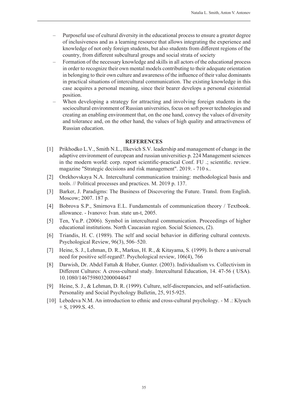- Purposeful use of cultural diversity in the educational process to ensure a greater degree of inclusiveness and as a learning resource that allows integrating the experience and knowledge of not only foreign students, but also students from different regions of the country, from different subcultural groups and social strata of society
- Formation of the necessary knowledge and skills in all actors of the educational process in order to recognize their own mental models contributing to their adequate orientation in belonging to their own culture and awareness of the influence of their value dominants in practical situations of intercultural communication. The existing knowledge in this case acquires a personal meaning, since their bearer develops a personal existential position.
- When developing a strategy for attracting and involving foreign students in the sociocultural environment of Russian universities, focus on soft power technologies and creating an enabling environment that, on the one hand, convey the values of diversity and tolerance and, on the other hand, the values of high quality and attractiveness of Russian education.

- [1] Prikhodko L.V., Smith N.L., Ilkevich S.V. leadership and management of change in the adaptive environment of european and russian universities p. 224 Management sciences in the modern world: corp. report scientific-practical Conf. FU .; scientific. review. magazine "Strategic decisions and risk management". 2019. - 710 s..
- [2] Orekhovskaya N.A. Intercultural communication training: methodological basis and tools. // Political processes and practices. M. 2019 p. 137.
- [3] Barker, J. Paradigms: The Business of Discovering the Future. Transl. from English. Moscow; 2007. 187 p.
- [4] Bobrova S.P., Smirnova E.L. Fundamentals of communication theory / Textbook. allowance. - Ivanovo: Ivan. state un-t, 2005.
- [5] Ten, Yu.P. (2006). Symbol in intercultural communication. Proceedings of higher educational institutions. North Caucasian region. Social Sciences, (2).
- [6] Triandis, H. C. (1989). The self and social behavior in differing cultural contexts. Psychological Review, 96(3), 506–520.
- [7] Heine, S. J., Lehman, D. R., Markus, H. R., & Kitayama, S. (1999). Is there a universal need for positive self-regard?. Psychological review, 106(4), 766
- [8] Darwish, Dr. Abdel Fattah & Huber, Gunter. (2003). Individualism vs. Collectivism in Different Cultures: A cross-cultural study. Intercultural Education, 14. 47-56 ( USA). 10.1080/1467598032000044647
- [9] Heine, S. J., & Lehman, D. R. (1999). Culture, self-discrepancies, and self-satisfaction. Personality and Social Psychology Bulletin, 25, 915-925.
- [10] Lebedeva N.M. An introduction to ethnic and cross-cultural psychology. M .: Klyuch + S, 1999.S. 45.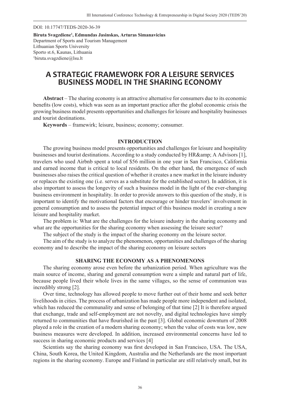DOI: 10.17747/TEDS-2020-36-39

**Biruta Svagzdiene1 , Edmundas Jasinskas, Arturas Simanavicius** Department of Sports and Tourism Management Lithuanian Sports University Sporto st.6, Kaunas, Lithuania 1 biruta.svagzdiene@lsu.lt

# **A STRATEGIC FRAMEWORK FOR A LEISURE SERVICES BUSINESS MODEL IN THE SHARING ECONOMY**

**Abstract** – The sharing economy is an attractive alternative for consumers due to its economic benefits (low costs), which was seen as an important practice after the global economic crisis the growing business model presents opportunities and challenges for leisure and hospitality businesses and tourist destinations.

**Keywords** – framewirk; leisure, business; economy; consumer.

#### **INTRODUCTION**

The growing business model presents opportunities and challenges for leisure and hospitality businesses and tourist destinations. According to a study conducted by HR& amp; A Advisors [1], travelers who used Airbnb spent a total of \$56 million in one year in San Francisco, California and earned income that is critical to local residents. On the other hand, the emergence of such businesses also raises the critical question of whether it creates a new market in the leisure industry or replaces the existing one (i.e. serves as a substitute for the established sector). In addition, it is also important to assess the longevity of such a business model in the light of the ever-changing business environment in hospitality. In order to provide answers to this question of the study, it is important to identify the motivational factors that encourage or hinder travelers' involvement in general consumption and to assess the potential impact of this business model in creating a new leisure and hospitality market.

The problem is: What are the challenges for the leisure industry in the sharing economy and what are the opportunities for the sharing economy when assessing the leisure sector?

The subject of the study is the impact of the sharing economy on the leisure sector.

The aim of the study is to analyze the phenomenon, opportunities and challenges of the sharing economy and to describe the impact of the sharing economy on leisure sectors

#### **SHARING THE ECONOMY AS A PHENOMENONS**

The sharing economy arose even before the urbanization period. When agriculture was the main source of income, sharing and general consumption were a simple and natural part of life, because people lived their whole lives in the same villages, so the sense of communion was incredibly strong [2].

Over time, technology has allowed people to move further out of their home and seek better livelihoods in cities. The process of urbanization has made people more independent and isolated, which has reduced the communality and sense of belonging of that time [2] It is therefore argued that exchange, trade and self-employment are not novelty, and digital technologies have simply returned to communities that have flourished in the past [3]. Global economic downturn of 2008 played a role in the creation of a modern sharing economy; when the value of costs was low, new business measures were developed. In addition, increased environmental concerns have led to success in sharing economic products and services [4]

Scientists say the sharing economy was first developed in San Francisco, USA. The USA, China, South Korea, the United Kingdom, Australia and the Netherlands are the most important regions in the sharing economy. Europe and Finland in particular are still relatively small, but its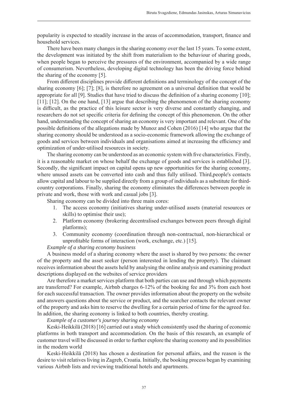popularity is expected to steadily increase in the areas of accommodation, transport, finance and household services.

There have been many changes in the sharing economy over the last 15 years. To some extent, the development was initiated by the shift from materialism to the behaviour of sharing goods, when people began to perceive the pressures of the environment, accompanied by a wide range of consumerism. Nevertheless, developing digital technology has been the driving force behind the sharing of the economy [5].

From different disciplines provide different definitions and terminology of the concept of the sharing economy  $[6]$ ;  $[7]$ ;  $[8]$ , is therefore no agreement on a universal definition that would be appropriate for all [9]. Studies that have tried to discuss the definition of a sharing economy  $[10]$ ; [11]; [12]. On the one hand, [13] argue that describing the phenomenon of the sharing economy is difficult, as the practice of this leisure sector is very diverse and constantly changing, and researchers do not set specific criteria for defining the concept of this phenomenon. On the other hand, understanding the concept of sharing an economy is very important and relevant. One of the possible definitions of the allegations made by Munoz and Cohen (2016) [14] who argue that the sharing economy should be understood as a socio-economic framework allowing the exchange of goods and services between individuals and organisations aimed at increasing the efficiency and optimization of under-utilised resources in society.

The sharing economy can be understood as an economic system with five characteristics. Firstly, it is a reasonable market on whose behalf the exchange of goods and services is established [3]. Secondly, the significant impact on capital opens up new opportunities for the sharing economy, where unused assets can be converted into cash and thus fully utilised. Third,people's contacts allow capital and labour to be supplied directly from a group of individuals as a substitute for thirdcountry corporations. Finally, sharing the economy eliminates the differences between people in private and work, those with work and casual jobs [3].

Sharing economy can be divided into three main cores:

- 1. The access economy (initiatives sharing under-utilised assets (material resources or skills) to optimise their use);
- 2. Platform economy (brokering decentralised exchanges between peers through digital platforms);
- 3. Community economy (coordination through non-contractual, non-hierarchical or unprofitable forms of interaction (work, exchange, etc.) [15].

*Example of a sharing economy business*

A business model of a sharing economy where the asset is shared by two persons: the owner of the property and the asset seeker (person interested in lending the property). The claimant receives information about the assets held by analysing the online analysis and examining product descriptions displayed on the websites of service providers

Are therefore a market services platform that both parties can use and through which payments are transferred? For example, Airbnb charges 6-12% of the booking fee and 3% from each host for each successful transaction. The owner provides information about the property on the website and answers questions about the service or product, and the searcher contacts the relevant owner of the property and asks him to reserve the dwelling for a certain period of time for the agreed fee. In addition, the sharing economy is linked to both countries, thereby creating.

*Example of a customer's journey sharing economy*

Keski-Heikkilä (2018) [16] carried out a study which consistently used the sharing of economic platforms in both transport and accommodation. On the basis of this research, an example of customer travel will be discussed in order to further explore the sharing economy and its possibilities in the modern world

Keski-Heikkilä (2018) has chosen a destination for personal affairs, and the reason is the desire to visit relatives living in Zagreb, Croatia. Initially, the booking process began by examining various Airbnb lists and reviewing traditional hotels and apartments.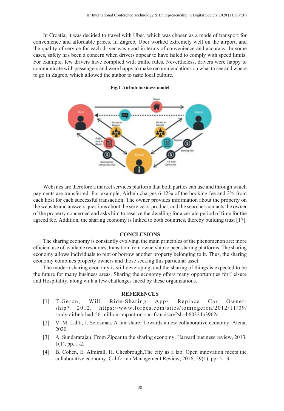In Croatia, it was decided to travel with Uber, which was chosen as a mode of transport for convenience and affordable prices. In Zagreb, Uber worked extremely well on the airport, and the quality of service for each driver was good in terms of convenience and accuracy. In some cases, safety has been a concern when drivers appear to have failed to comply with speed limits. For example, few drivers have complied with traffic rules. Nevertheless, drivers were happy to communicate with passengers and were happy to make recommendations on what to see and where to go in Zagreb, which allowed the author to taste local culture.

#### **Fig.1 Airbnb business model**

Websites are therefore a market services platform that both parties can use and through which payments are transferred. For example, Airbnb charges 6-12% of the booking fee and 3% from each host for each successful transaction. The owner provides information about the property on the website and answers questions about the service or product, and the searcher contacts the owner of the property concerned and asks him to reserve the dwelling for a certain period of time for the agreed fee. Addition, the sharing economy is linked to both countries, thereby building trust [17].

#### **CONCLUSIONS**

The sharing economy is constantly evolving, the main principles of the phenomenon are: more efficient use of available resources, transition from ownership to peer-sharing platforms. The sharing economy allows individuals to rent or borrow another property belonging to it. Thus, the sharing economy combines property owners and those seeking this particular asset.

The modern sharing economy is still developing, and the sharing of things is expected to be the future for many business areas. Sharing the economy offers many opportunities for Leisure and Hospitality, along with a few challenges faced by these organizations.

- [1] T.Geron, Will Ride-Sharing Apps Replace Car Ownership? 2012, https://www.forbes.com/sites/tomiogeron/2012/11/09/ study-airbnb-had-56-million-impact-on-san-francisco/?sh=b60324b3962a
- [2] V. M. Lahti, J. Selosmaa. A fair share: Towards a new collaborative economy. Atena, 2020.
- [3] A. Sundararajan. From Zipcar to the sharing economy. Harvard business review, 2013, 1(1), pp. 1-2.
- [4] B. Cohen, E. Almirall, H. Chesbrough,The city as a lab: Open innovation meets the collaborative economy. California Management Review, 2016, 59(1), pp. 5-13.